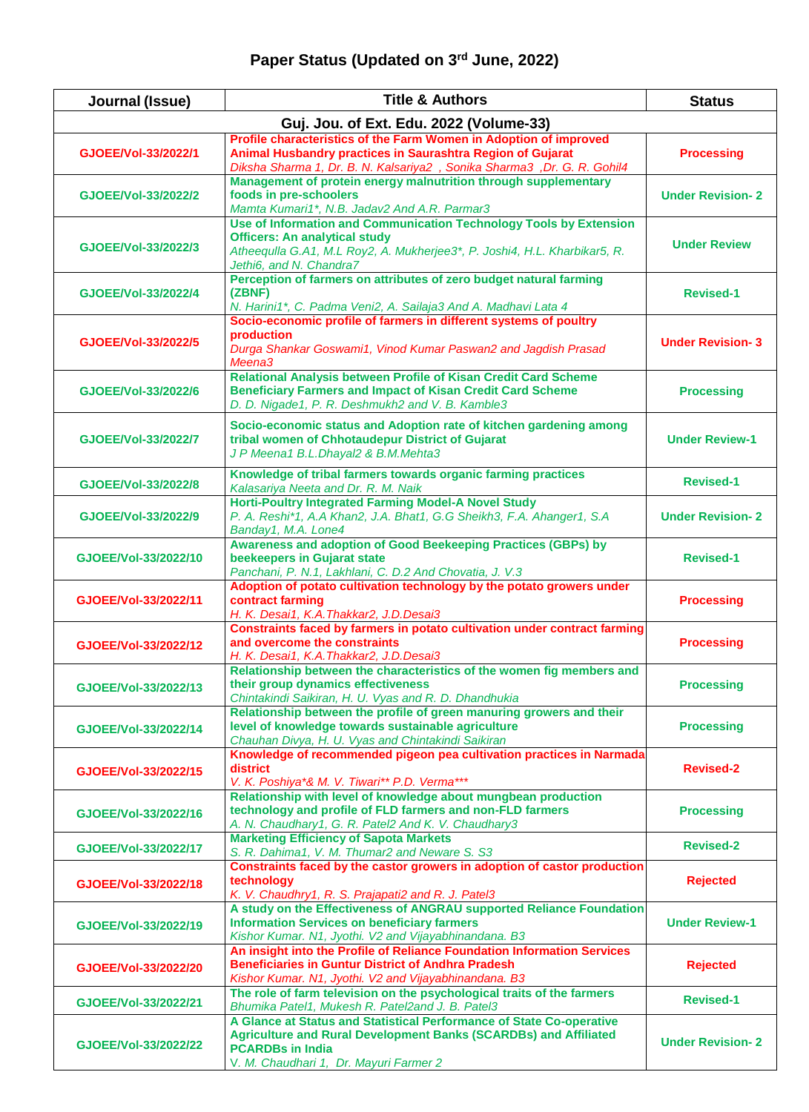| Journal (Issue)      | <b>Title &amp; Authors</b>                                                                                                                                                                                         | <b>Status</b>           |
|----------------------|--------------------------------------------------------------------------------------------------------------------------------------------------------------------------------------------------------------------|-------------------------|
|                      | Guj. Jou. of Ext. Edu. 2022 (Volume-33)                                                                                                                                                                            |                         |
| GJOEE/Vol-33/2022/1  | Profile characteristics of the Farm Women in Adoption of improved<br>Animal Husbandry practices in Saurashtra Region of Gujarat<br>Diksha Sharma 1, Dr. B. N. Kalsariya2, Sonika Sharma3, Dr. G. R. Gohil4         | <b>Processing</b>       |
| GJOEE/Vol-33/2022/2  | Management of protein energy malnutrition through supplementary<br>foods in pre-schoolers<br>Mamta Kumari1*, N.B. Jadav2 And A.R. Parmar3                                                                          | <b>Under Revision-2</b> |
| GJOEE/Vol-33/2022/3  | Use of Information and Communication Technology Tools by Extension<br><b>Officers: An analytical study</b><br>Atheequlla G.A1, M.L Roy2, A. Mukherjee3*, P. Joshi4, H.L. Kharbikar5, R.<br>Jethi6, and N. Chandra7 | <b>Under Review</b>     |
| GJOEE/Vol-33/2022/4  | Perception of farmers on attributes of zero budget natural farming<br>(ZBNF)<br>N. Harini1*, C. Padma Veni2, A. Sailaja3 And A. Madhavi Lata 4                                                                     | <b>Revised-1</b>        |
| GJOEE/Vol-33/2022/5  | Socio-economic profile of farmers in different systems of poultry<br>production<br>Durga Shankar Goswami1, Vinod Kumar Paswan2 and Jagdish Prasad<br>Meena <sub>3</sub>                                            | <b>Under Revision-3</b> |
| GJOEE/Vol-33/2022/6  | Relational Analysis between Profile of Kisan Credit Card Scheme<br><b>Beneficiary Farmers and Impact of Kisan Credit Card Scheme</b><br>D. D. Nigade1, P. R. Deshmukh2 and V. B. Kamble3                           | <b>Processing</b>       |
| GJOEE/Vol-33/2022/7  | Socio-economic status and Adoption rate of kitchen gardening among<br>tribal women of Chhotaudepur District of Gujarat<br>J P Meena1 B.L.Dhayal2 & B.M.Mehta3                                                      | <b>Under Review-1</b>   |
| GJOEE/Vol-33/2022/8  | Knowledge of tribal farmers towards organic farming practices<br>Kalasariya Neeta and Dr. R. M. Naik                                                                                                               | <b>Revised-1</b>        |
| GJOEE/Vol-33/2022/9  | <b>Horti-Poultry Integrated Farming Model-A Novel Study</b><br>P. A. Reshi*1, A.A Khan2, J.A. Bhat1, G.G Sheikh3, F.A. Ahanger1, S.A<br>Banday1, M.A. Lone4                                                        | <b>Under Revision-2</b> |
| GJOEE/Vol-33/2022/10 | Awareness and adoption of Good Beekeeping Practices (GBPs) by<br>beekeepers in Gujarat state<br>Panchani, P. N.1, Lakhlani, C. D.2 And Chovatia, J. V.3                                                            | <b>Revised-1</b>        |
| GJOEE/Vol-33/2022/11 | Adoption of potato cultivation technology by the potato growers under<br>contract farming<br>H. K. Desai1, K.A. Thakkar2, J.D. Desai3                                                                              | <b>Processing</b>       |
| GJOEE/Vol-33/2022/12 | Constraints faced by farmers in potato cultivation under contract farming<br>and overcome the constraints<br>H. K. Desai1, K.A. Thakkar2, J.D. Desai3                                                              | <b>Processing</b>       |
| GJOEE/Vol-33/2022/13 | Relationship between the characteristics of the women fig members and<br>their group dynamics effectiveness<br>Chintakindi Saikiran, H. U. Vyas and R. D. Dhandhukia                                               | <b>Processing</b>       |
| GJOEE/Vol-33/2022/14 | Relationship between the profile of green manuring growers and their<br>level of knowledge towards sustainable agriculture<br>Chauhan Divya, H. U. Vyas and Chintakindi Saikiran                                   | <b>Processing</b>       |
| GJOEE/Vol-33/2022/15 | Knowledge of recommended pigeon pea cultivation practices in Narmada<br>district<br>V. K. Poshiya*& M. V. Tiwari** P.D. Verma***                                                                                   | <b>Revised-2</b>        |
| GJOEE/Vol-33/2022/16 | Relationship with level of knowledge about mungbean production<br>technology and profile of FLD farmers and non-FLD farmers<br>A. N. Chaudhary1, G. R. Patel2 And K. V. Chaudhary3                                 | <b>Processing</b>       |
| GJOEE/Vol-33/2022/17 | <b>Marketing Efficiency of Sapota Markets</b><br>S. R. Dahima1, V. M. Thumar2 and Neware S. S3                                                                                                                     | <b>Revised-2</b>        |
| GJOEE/Vol-33/2022/18 | Constraints faced by the castor growers in adoption of castor production<br>technology<br>K. V. Chaudhry1, R. S. Prajapati2 and R. J. Patel3                                                                       | <b>Rejected</b>         |
| GJOEE/Vol-33/2022/19 | A study on the Effectiveness of ANGRAU supported Reliance Foundation<br><b>Information Services on beneficiary farmers</b><br>Kishor Kumar. N1, Jyothi. V2 and Vijayabhinandana. B3                                | <b>Under Review-1</b>   |
| GJOEE/Vol-33/2022/20 | An insight into the Profile of Reliance Foundation Information Services<br><b>Beneficiaries in Guntur District of Andhra Pradesh</b><br>Kishor Kumar. N1, Jyothi. V2 and Vijayabhinandana. B3                      | <b>Rejected</b>         |
| GJOEE/Vol-33/2022/21 | The role of farm television on the psychological traits of the farmers<br>Bhumika Patel1, Mukesh R. Patel2and J. B. Patel3                                                                                         | <b>Revised-1</b>        |
| GJOEE/Vol-33/2022/22 | A Glance at Status and Statistical Performance of State Co-operative<br>Agriculture and Rural Development Banks (SCARDBs) and Affiliated<br><b>PCARDBs in India</b><br>V. M. Chaudhari 1, Dr. Mayuri Farmer 2      | <b>Under Revision-2</b> |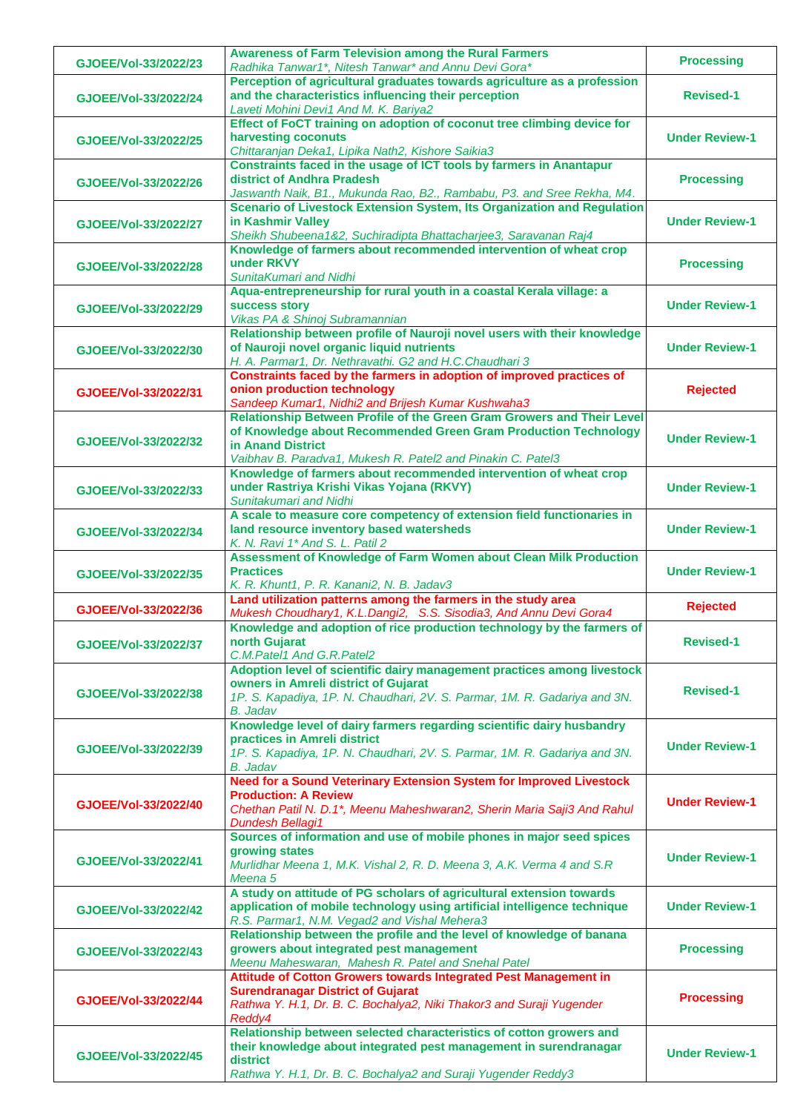| GJOEE/Vol-33/2022/23 | <b>Awareness of Farm Television among the Rural Farmers</b><br>Radhika Tanwar1*, Nitesh Tanwar* and Annu Devi Gora*                                                                                                           | <b>Processing</b>     |
|----------------------|-------------------------------------------------------------------------------------------------------------------------------------------------------------------------------------------------------------------------------|-----------------------|
| GJOEE/Vol-33/2022/24 | Perception of agricultural graduates towards agriculture as a profession<br>and the characteristics influencing their perception<br>Laveti Mohini Devi1 And M. K. Bariya2                                                     | <b>Revised-1</b>      |
| GJOEE/Vol-33/2022/25 | Effect of FoCT training on adoption of coconut tree climbing device for<br>harvesting coconuts<br>Chittaranjan Deka1, Lipika Nath2, Kishore Saikia3                                                                           | <b>Under Review-1</b> |
| GJOEE/Vol-33/2022/26 | Constraints faced in the usage of ICT tools by farmers in Anantapur<br>district of Andhra Pradesh<br>Jaswanth Naik, B1., Mukunda Rao, B2., Rambabu, P3. and Sree Rekha, M4.                                                   | <b>Processing</b>     |
| GJOEE/Vol-33/2022/27 | Scenario of Livestock Extension System, Its Organization and Regulation<br>in Kashmir Valley<br>Sheikh Shubeena1&2, Suchiradipta Bhattacharjee3, Saravanan Raj4                                                               | <b>Under Review-1</b> |
| GJOEE/Vol-33/2022/28 | Knowledge of farmers about recommended intervention of wheat crop<br>under RKVY<br>SunitaKumari and Nidhi                                                                                                                     | <b>Processing</b>     |
| GJOEE/Vol-33/2022/29 | Aqua-entrepreneurship for rural youth in a coastal Kerala village: a<br>success story<br>Vikas PA & Shinoj Subramannian                                                                                                       | <b>Under Review-1</b> |
| GJOEE/Vol-33/2022/30 | Relationship between profile of Nauroji novel users with their knowledge<br>of Nauroji novel organic liquid nutrients<br>H. A. Parmar1, Dr. Nethravathi. G2 and H.C.Chaudhari 3                                               | <b>Under Review-1</b> |
| GJOEE/Vol-33/2022/31 | Constraints faced by the farmers in adoption of improved practices of<br>onion production technology<br>Sandeep Kumar1, Nidhi2 and Brijesh Kumar Kushwaha3                                                                    | <b>Rejected</b>       |
| GJOEE/Vol-33/2022/32 | Relationship Between Profile of the Green Gram Growers and Their Level<br>of Knowledge about Recommended Green Gram Production Technology<br>in Anand District<br>Vaibhav B. Paradva1, Mukesh R. Patel2 and Pinakin C. Patel3 | <b>Under Review-1</b> |
| GJOEE/Vol-33/2022/33 | Knowledge of farmers about recommended intervention of wheat crop<br>under Rastriya Krishi Vikas Yojana (RKVY)<br>Sunitakumari and Nidhi                                                                                      | <b>Under Review-1</b> |
| GJOEE/Vol-33/2022/34 | A scale to measure core competency of extension field functionaries in<br>land resource inventory based watersheds<br>K. N. Ravi 1* And S. L. Patil 2                                                                         | <b>Under Review-1</b> |
| GJOEE/Vol-33/2022/35 | Assessment of Knowledge of Farm Women about Clean Milk Production<br><b>Practices</b><br>K. R. Khunt1, P. R. Kanani2, N. B. Jadav3                                                                                            | <b>Under Review-1</b> |
| GJOEE/Vol-33/2022/36 | Land utilization patterns among the farmers in the study area<br>Mukesh Choudhary1, K.L.Dangi2, S.S. Sisodia3, And Annu Devi Gora4                                                                                            | <b>Rejected</b>       |
| GJOEE/Vol-33/2022/37 | Knowledge and adoption of rice production technology by the farmers of<br>north Gujarat<br>C.M.Patel1 And G.R.Patel2                                                                                                          | <b>Revised-1</b>      |
| GJOEE/Vol-33/2022/38 | Adoption level of scientific dairy management practices among livestock<br>owners in Amreli district of Gujarat<br>1P. S. Kapadiya, 1P. N. Chaudhari, 2V. S. Parmar, 1M. R. Gadariya and 3N.<br><b>B.</b> Jadav               | <b>Revised-1</b>      |
| GJOEE/Vol-33/2022/39 | Knowledge level of dairy farmers regarding scientific dairy husbandry<br>practices in Amreli district<br>1P. S. Kapadiya, 1P. N. Chaudhari, 2V. S. Parmar, 1M. R. Gadariya and 3N.<br><b>B.</b> Jadav                         | <b>Under Review-1</b> |
| GJOEE/Vol-33/2022/40 | <b>Need for a Sound Veterinary Extension System for Improved Livestock</b><br><b>Production: A Review</b><br>Chethan Patil N. D.1*, Meenu Maheshwaran2, Sherin Maria Saji3 And Rahul<br>Dundesh Bellagi1                      | <b>Under Review-1</b> |
| GJOEE/Vol-33/2022/41 | Sources of information and use of mobile phones in major seed spices<br>growing states<br>Murlidhar Meena 1, M.K. Vishal 2, R. D. Meena 3, A.K. Verma 4 and S.R<br>Meena 5                                                    | <b>Under Review-1</b> |
| GJOEE/Vol-33/2022/42 | A study on attitude of PG scholars of agricultural extension towards<br>application of mobile technology using artificial intelligence technique<br>R.S. Parmar1, N.M. Vegad2 and Vishal Mehera3                              | <b>Under Review-1</b> |
| GJOEE/Vol-33/2022/43 | Relationship between the profile and the level of knowledge of banana<br>growers about integrated pest management<br>Meenu Maheswaran, Mahesh R. Patel and Snehal Patel                                                       | <b>Processing</b>     |
| GJOEE/Vol-33/2022/44 | Attitude of Cotton Growers towards Integrated Pest Management in<br><b>Surendranagar District of Gujarat</b><br>Rathwa Y. H.1, Dr. B. C. Bochalya2, Niki Thakor3 and Suraji Yugender<br>Reddy4                                | <b>Processing</b>     |
| GJOEE/Vol-33/2022/45 | Relationship between selected characteristics of cotton growers and<br>their knowledge about integrated pest management in surendranagar<br>district<br>Rathwa Y. H.1, Dr. B. C. Bochalya2 and Suraji Yugender Reddy3         | <b>Under Review-1</b> |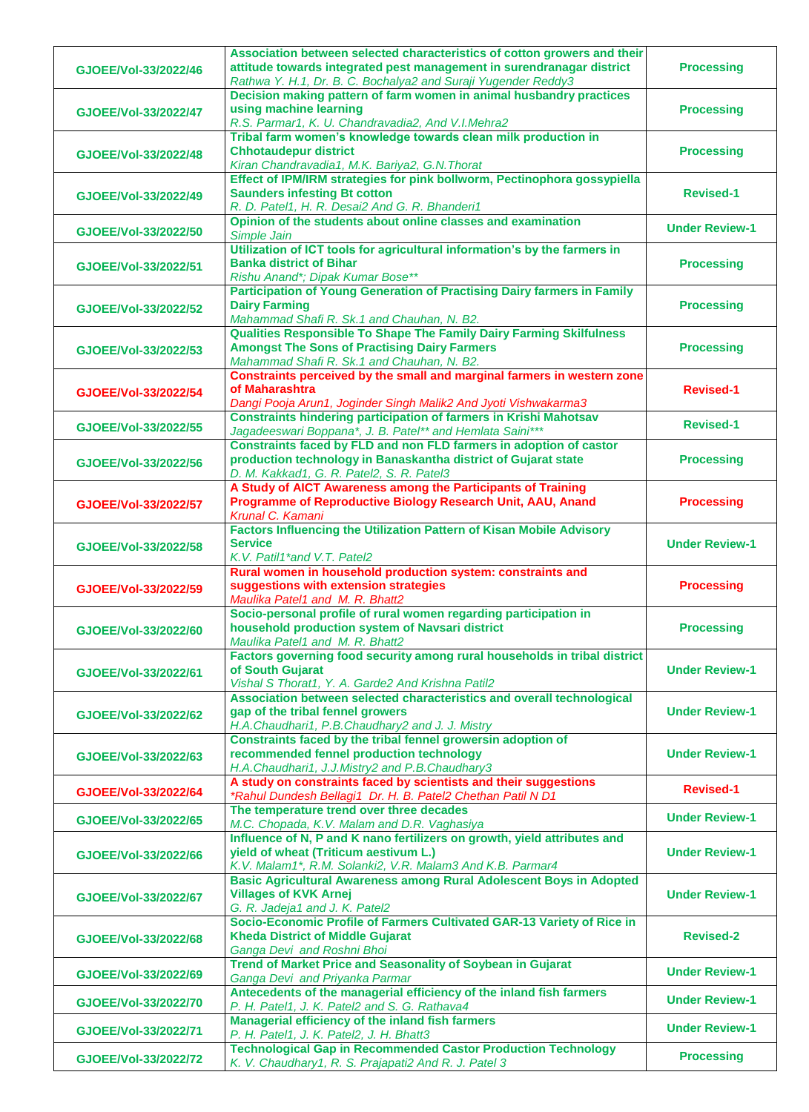| GJOEE/Vol-33/2022/46 | Association between selected characteristics of cotton growers and their<br>attitude towards integrated pest management in surendranagar district<br>Rathwa Y. H.1, Dr. B. C. Bochalya2 and Suraji Yugender Reddy3 | <b>Processing</b>     |
|----------------------|--------------------------------------------------------------------------------------------------------------------------------------------------------------------------------------------------------------------|-----------------------|
| GJOEE/Vol-33/2022/47 | Decision making pattern of farm women in animal husbandry practices<br>using machine learning<br>R.S. Parmar1, K. U. Chandravadia2, And V.I.Mehra2                                                                 | <b>Processing</b>     |
| GJOEE/Vol-33/2022/48 | Tribal farm women's knowledge towards clean milk production in<br><b>Chhotaudepur district</b><br>Kiran Chandravadia1, M.K. Bariya2, G.N. Thorat                                                                   | <b>Processing</b>     |
| GJOEE/Vol-33/2022/49 | Effect of IPM/IRM strategies for pink bollworm, Pectinophora gossypiella<br><b>Saunders infesting Bt cotton</b><br>R. D. Patel1, H. R. Desai2 And G. R. Bhanderi1                                                  | <b>Revised-1</b>      |
| GJOEE/Vol-33/2022/50 | Opinion of the students about online classes and examination<br>Simple Jain                                                                                                                                        | <b>Under Review-1</b> |
| GJOEE/Vol-33/2022/51 | Utilization of ICT tools for agricultural information's by the farmers in<br><b>Banka district of Bihar</b><br>Rishu Anand*; Dipak Kumar Bose**                                                                    | <b>Processing</b>     |
| GJOEE/Vol-33/2022/52 | Participation of Young Generation of Practising Dairy farmers in Family<br><b>Dairy Farming</b><br>Mahammad Shafi R. Sk.1 and Chauhan, N. B2.                                                                      | <b>Processing</b>     |
| GJOEE/Vol-33/2022/53 | <b>Qualities Responsible To Shape The Family Dairy Farming Skilfulness</b><br><b>Amongst The Sons of Practising Dairy Farmers</b><br>Mahammad Shafi R. Sk.1 and Chauhan, N. B2.                                    | <b>Processing</b>     |
| GJOEE/Vol-33/2022/54 | Constraints perceived by the small and marginal farmers in western zone<br>of Maharashtra<br>Dangi Pooja Arun1, Joginder Singh Malik2 And Jyoti Vishwakarma3                                                       | <b>Revised-1</b>      |
| GJOEE/Vol-33/2022/55 | <b>Constraints hindering participation of farmers in Krishi Mahotsav</b><br>Jagadeeswari Boppana*, J. B. Patel** and Hemlata Saini***                                                                              | <b>Revised-1</b>      |
| GJOEE/Vol-33/2022/56 | Constraints faced by FLD and non FLD farmers in adoption of castor<br>production technology in Banaskantha district of Gujarat state<br>D. M. Kakkad1, G. R. Patel2, S. R. Patel3                                  | <b>Processing</b>     |
| GJOEE/Vol-33/2022/57 | A Study of AICT Awareness among the Participants of Training<br>Programme of Reproductive Biology Research Unit, AAU, Anand<br>Krunal C. Kamani                                                                    | <b>Processing</b>     |
| GJOEE/Vol-33/2022/58 | Factors Influencing the Utilization Pattern of Kisan Mobile Advisory<br>Service                                                                                                                                    | <b>Under Review-1</b> |
|                      |                                                                                                                                                                                                                    |                       |
| GJOEE/Vol-33/2022/59 | K.V. Patil1*and V.T. Patel2<br>Rural women in household production system: constraints and<br>suggestions with extension strategies                                                                                | <b>Processing</b>     |
| GJOEE/Vol-33/2022/60 | Maulika Patel1 and M. R. Bhatt2<br>Socio-personal profile of rural women regarding participation in<br>household production system of Navsari district                                                             | <b>Processing</b>     |
| GJOEE/Vol-33/2022/61 | Maulika Patel1 and M. R. Bhatt2<br>Factors governing food security among rural households in tribal district<br>of South Gujarat                                                                                   | <b>Under Review-1</b> |
| GJOEE/Vol-33/2022/62 | Vishal S Thorat1, Y. A. Garde2 And Krishna Patil2<br>Association between selected characteristics and overall technological<br>gap of the tribal fennel growers                                                    | <b>Under Review-1</b> |
| GJOEE/Vol-33/2022/63 | H.A.Chaudhari1, P.B.Chaudhary2 and J. J. Mistry<br>Constraints faced by the tribal fennel growersin adoption of<br>recommended fennel production technology                                                        | <b>Under Review-1</b> |
| GJOEE/Vol-33/2022/64 | H.A.Chaudhari1, J.J.Mistry2 and P.B.Chaudhary3<br>A study on constraints faced by scientists and their suggestions                                                                                                 | Revised-1             |
| GJOEE/Vol-33/2022/65 | *Rahul Dundesh Bellagi1 Dr. H. B. Patel2 Chethan Patil N D1<br>The temperature trend over three decades                                                                                                            | <b>Under Review-1</b> |
| GJOEE/Vol-33/2022/66 | M.C. Chopada, K.V. Malam and D.R. Vaghasiya<br>Influence of N, P and K nano fertilizers on growth, yield attributes and<br>yield of wheat (Triticum aestivum L.)                                                   | <b>Under Review-1</b> |
| GJOEE/Vol-33/2022/67 | K.V. Malam1*, R.M. Solanki2, V.R. Malam3 And K.B. Parmar4<br>Basic Agricultural Awareness among Rural Adolescent Boys in Adopted<br><b>Villages of KVK Arnej</b>                                                   | <b>Under Review-1</b> |
| GJOEE/Vol-33/2022/68 | G. R. Jadeja1 and J. K. Patel2<br>Socio-Economic Profile of Farmers Cultivated GAR-13 Variety of Rice in<br><b>Kheda District of Middle Gujarat</b>                                                                | <b>Revised-2</b>      |
| GJOEE/Vol-33/2022/69 | Ganga Devi and Roshni Bhoi<br><b>Trend of Market Price and Seasonality of Soybean in Gujarat</b>                                                                                                                   | <b>Under Review-1</b> |
| GJOEE/Vol-33/2022/70 | Ganga Devi and Priyanka Parmar<br>Antecedents of the managerial efficiency of the inland fish farmers                                                                                                              | <b>Under Review-1</b> |
| GJOEE/Vol-33/2022/71 | P. H. Patel1, J. K. Patel2 and S. G. Rathava4<br>Managerial efficiency of the inland fish farmers<br>P. H. Patel1, J. K. Patel2, J. H. Bhatt3                                                                      | <b>Under Review-1</b> |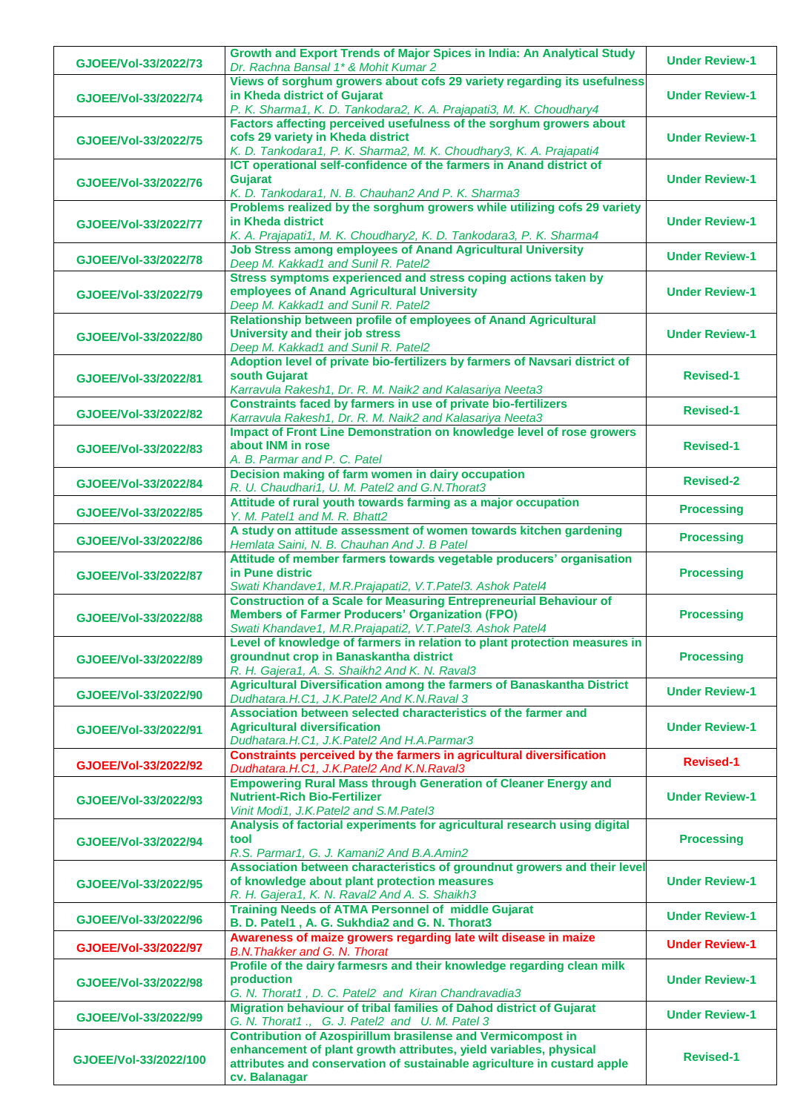| GJOEE/Vol-33/2022/73  | <b>Growth and Export Trends of Major Spices in India: An Analytical Study</b><br>Dr. Rachna Bansal 1* & Mohit Kumar 2                                                                                                               | <b>Under Review-1</b> |
|-----------------------|-------------------------------------------------------------------------------------------------------------------------------------------------------------------------------------------------------------------------------------|-----------------------|
| GJOEE/Vol-33/2022/74  | Views of sorghum growers about cofs 29 variety regarding its usefulness<br>in Kheda district of Gujarat<br>P. K. Sharma1, K. D. Tankodara2, K. A. Prajapati3, M. K. Choudhary4                                                      | <b>Under Review-1</b> |
| GJOEE/Vol-33/2022/75  | Factors affecting perceived usefulness of the sorghum growers about<br>cofs 29 variety in Kheda district<br>K. D. Tankodara1, P. K. Sharma2, M. K. Choudhary3, K. A. Prajapati4                                                     | <b>Under Review-1</b> |
| GJOEE/Vol-33/2022/76  | ICT operational self-confidence of the farmers in Anand district of<br><b>Gujarat</b><br>K. D. Tankodara1, N. B. Chauhan2 And P. K. Sharma3                                                                                         | <b>Under Review-1</b> |
| GJOEE/Vol-33/2022/77  | Problems realized by the sorghum growers while utilizing cofs 29 variety<br>in Kheda district<br>K. A. Prajapati1, M. K. Choudhary2, K. D. Tankodara3, P. K. Sharma4                                                                | <b>Under Review-1</b> |
| GJOEE/Vol-33/2022/78  | <b>Job Stress among employees of Anand Agricultural University</b><br>Deep M. Kakkad1 and Sunil R. Patel2                                                                                                                           | <b>Under Review-1</b> |
| GJOEE/Vol-33/2022/79  | Stress symptoms experienced and stress coping actions taken by<br>employees of Anand Agricultural University<br>Deep M. Kakkad1 and Sunil R. Patel2                                                                                 | <b>Under Review-1</b> |
| GJOEE/Vol-33/2022/80  | Relationship between profile of employees of Anand Agricultural<br>University and their job stress<br>Deep M. Kakkad1 and Sunil R. Patel2                                                                                           | <b>Under Review-1</b> |
| GJOEE/Vol-33/2022/81  | Adoption level of private bio-fertilizers by farmers of Navsari district of<br>south Gujarat<br>Karravula Rakesh1, Dr. R. M. Naik2 and Kalasariya Neeta3                                                                            | <b>Revised-1</b>      |
| GJOEE/Vol-33/2022/82  | Constraints faced by farmers in use of private bio-fertilizers<br>Karravula Rakesh1, Dr. R. M. Naik2 and Kalasariya Neeta3                                                                                                          | <b>Revised-1</b>      |
| GJOEE/Vol-33/2022/83  | Impact of Front Line Demonstration on knowledge level of rose growers<br>about INM in rose<br>A. B. Parmar and P. C. Patel                                                                                                          | <b>Revised-1</b>      |
| GJOEE/Vol-33/2022/84  | Decision making of farm women in dairy occupation<br>R. U. Chaudhari1, U. M. Patel2 and G.N. Thorat3                                                                                                                                | <b>Revised-2</b>      |
| GJOEE/Vol-33/2022/85  | Attitude of rural youth towards farming as a major occupation<br>Y. M. Patel1 and M. R. Bhatt2                                                                                                                                      | <b>Processing</b>     |
| GJOEE/Vol-33/2022/86  | A study on attitude assessment of women towards kitchen gardening<br>Hemlata Saini, N. B. Chauhan And J. B Patel                                                                                                                    | <b>Processing</b>     |
| GJOEE/Vol-33/2022/87  | Attitude of member farmers towards vegetable producers' organisation<br>in Pune distric<br>Swati Khandave1, M.R.Prajapati2, V.T.Patel3. Ashok Patel4                                                                                | <b>Processing</b>     |
| GJOEE/Vol-33/2022/88  | <b>Construction of a Scale for Measuring Entrepreneurial Behaviour of</b><br><b>Members of Farmer Producers' Organization (FPO)</b><br>Swati Khandave1, M.R.Prajapati2, V.T.Patel3. Ashok Patel4                                    | <b>Processing</b>     |
| GJOEE/Vol-33/2022/89  | Level of knowledge of farmers in relation to plant protection measures in<br>groundnut crop in Banaskantha district<br>R. H. Gajera1, A. S. Shaikh2 And K. N. Raval3                                                                | <b>Processing</b>     |
| GJOEE/Vol-33/2022/90  | <b>Agricultural Diversification among the farmers of Banaskantha District</b><br>Dudhatara.H.C1, J.K.Patel2 And K.N.Raval 3                                                                                                         | <b>Under Review-1</b> |
| GJOEE/Vol-33/2022/91  | Association between selected characteristics of the farmer and<br><b>Agricultural diversification</b><br>Dudhatara.H.C1, J.K.Patel2 And H.A.Parmar3                                                                                 | <b>Under Review-1</b> |
| GJOEE/Vol-33/2022/92  | Constraints perceived by the farmers in agricultural diversification<br>Dudhatara.H.C1, J.K.Patel2 And K.N.Raval3                                                                                                                   | <b>Revised-1</b>      |
| GJOEE/Vol-33/2022/93  | <b>Empowering Rural Mass through Generation of Cleaner Energy and</b><br><b>Nutrient-Rich Bio-Fertilizer</b><br>Vinit Modi1, J.K. Patel2 and S.M. Patel3                                                                            | <b>Under Review-1</b> |
| GJOEE/Vol-33/2022/94  | Analysis of factorial experiments for agricultural research using digital<br>tool<br>R.S. Parmar1, G. J. Kamani2 And B.A.Amin2                                                                                                      | <b>Processing</b>     |
| GJOEE/Vol-33/2022/95  | Association between characteristics of groundnut growers and their level<br>of knowledge about plant protection measures<br>R. H. Gajera1, K. N. Raval2 And A. S. Shaikh3                                                           | <b>Under Review-1</b> |
| GJOEE/Vol-33/2022/96  | <b>Training Needs of ATMA Personnel of middle Gujarat</b><br>B. D. Patel1, A. G. Sukhdia2 and G. N. Thorat3                                                                                                                         | <b>Under Review-1</b> |
| GJOEE/Vol-33/2022/97  | Awareness of maize growers regarding late wilt disease in maize<br>B.N. Thakker and G. N. Thorat                                                                                                                                    | <b>Under Review-1</b> |
| GJOEE/Vol-33/2022/98  | Profile of the dairy farmesrs and their knowledge regarding clean milk<br>production<br>G. N. Thorat1, D. C. Patel2 and Kiran Chandravadia3                                                                                         | <b>Under Review-1</b> |
| GJOEE/Vol-33/2022/99  | Migration behaviour of tribal families of Dahod district of Gujarat<br>G. N. Thorat1., G. J. Patel2 and U. M. Patel 3                                                                                                               | <b>Under Review-1</b> |
| GJOEE/Vol-33/2022/100 | <b>Contribution of Azospirillum brasilense and Vermicompost in</b><br>enhancement of plant growth attributes, yield variables, physical<br>attributes and conservation of sustainable agriculture in custard apple<br>cv. Balanagar | <b>Revised-1</b>      |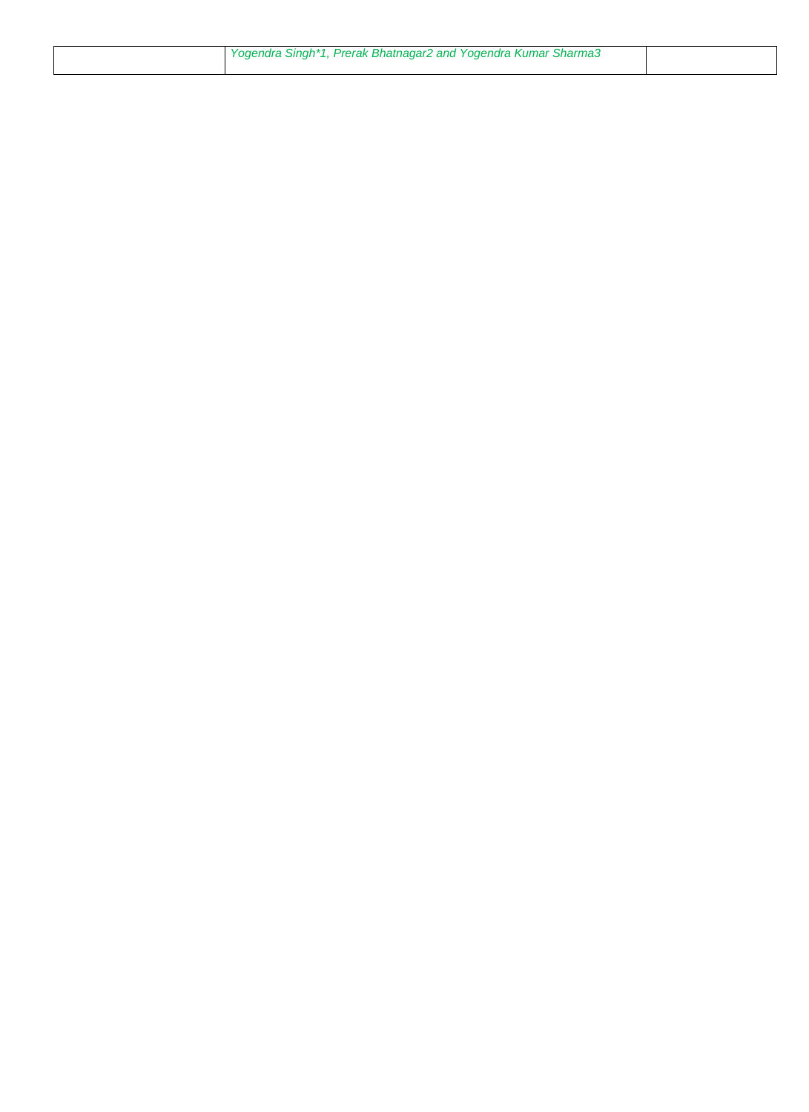| Yogendra Singh*1, Prerak Bhatnagar2 and Yogendra Kumar Sharma3 |  |
|----------------------------------------------------------------|--|
|                                                                |  |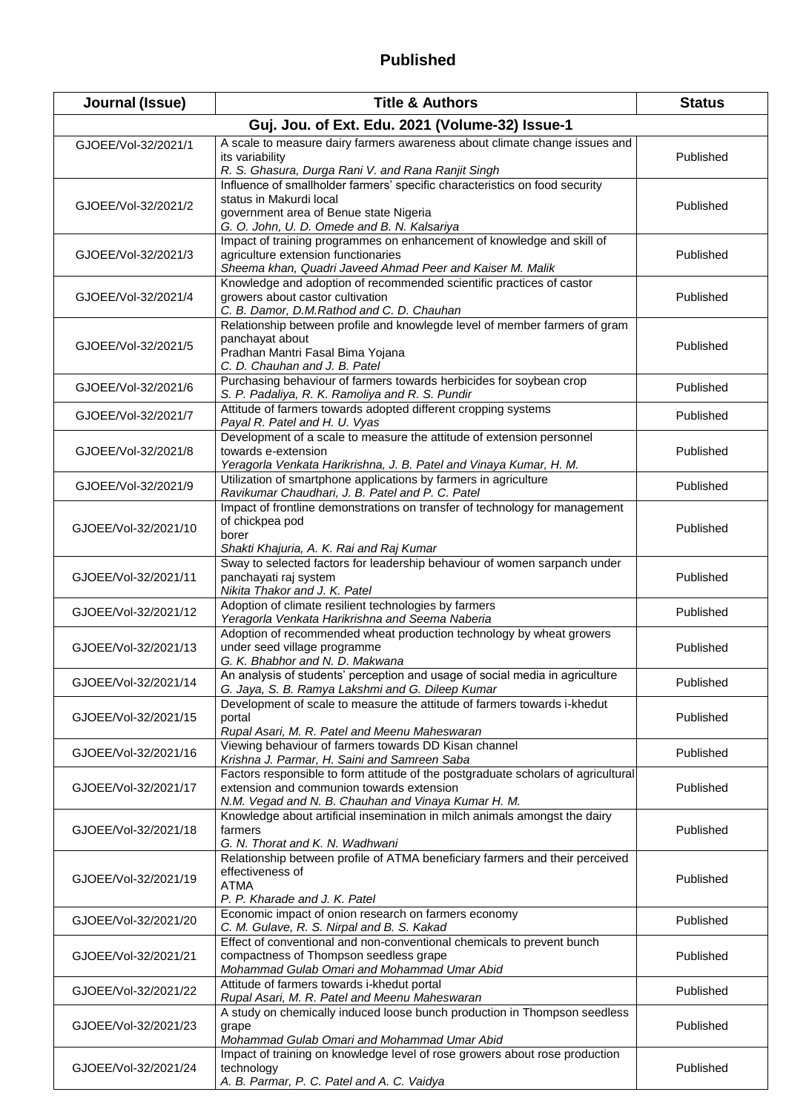## **Published**

| Journal (Issue)      | <b>Title &amp; Authors</b>                                                                                                                                                                      | <b>Status</b> |
|----------------------|-------------------------------------------------------------------------------------------------------------------------------------------------------------------------------------------------|---------------|
|                      | Guj. Jou. of Ext. Edu. 2021 (Volume-32) Issue-1                                                                                                                                                 |               |
| GJOEE/Vol-32/2021/1  | A scale to measure dairy farmers awareness about climate change issues and<br>its variability<br>R. S. Ghasura, Durga Rani V. and Rana Ranjit Singh                                             | Published     |
| GJOEE/Vol-32/2021/2  | Influence of smallholder farmers' specific characteristics on food security<br>status in Makurdi local<br>government area of Benue state Nigeria<br>G. O. John, U. D. Omede and B. N. Kalsariya | Published     |
| GJOEE/Vol-32/2021/3  | Impact of training programmes on enhancement of knowledge and skill of<br>agriculture extension functionaries<br>Sheema khan, Quadri Javeed Ahmad Peer and Kaiser M. Malik                      | Published     |
| GJOEE/Vol-32/2021/4  | Knowledge and adoption of recommended scientific practices of castor<br>growers about castor cultivation<br>C. B. Damor, D.M.Rathod and C. D. Chauhan                                           | Published     |
| GJOEE/Vol-32/2021/5  | Relationship between profile and knowlegde level of member farmers of gram<br>panchayat about<br>Pradhan Mantri Fasal Bima Yojana<br>C. D. Chauhan and J. B. Patel                              | Published     |
| GJOEE/Vol-32/2021/6  | Purchasing behaviour of farmers towards herbicides for soybean crop<br>S. P. Padaliya, R. K. Ramoliya and R. S. Pundir                                                                          | Published     |
| GJOEE/Vol-32/2021/7  | Attitude of farmers towards adopted different cropping systems<br>Payal R. Patel and H. U. Vyas                                                                                                 | Published     |
| GJOEE/Vol-32/2021/8  | Development of a scale to measure the attitude of extension personnel<br>towards e-extension<br>Yeragorla Venkata Harikrishna, J. B. Patel and Vinaya Kumar, H. M.                              | Published     |
| GJOEE/Vol-32/2021/9  | Utilization of smartphone applications by farmers in agriculture<br>Ravikumar Chaudhari, J. B. Patel and P. C. Patel                                                                            | Published     |
| GJOEE/Vol-32/2021/10 | Impact of frontline demonstrations on transfer of technology for management<br>of chickpea pod<br>borer<br>Shakti Khajuria, A. K. Rai and Raj Kumar                                             | Published     |
| GJOEE/Vol-32/2021/11 | Sway to selected factors for leadership behaviour of women sarpanch under<br>panchayati raj system<br>Nikita Thakor and J. K. Patel                                                             | Published     |
| GJOEE/Vol-32/2021/12 | Adoption of climate resilient technologies by farmers<br>Yeragorla Venkata Harikrishna and Seema Naberia                                                                                        | Published     |
| GJOEE/Vol-32/2021/13 | Adoption of recommended wheat production technology by wheat growers<br>under seed village programme<br>G. K. Bhabhor and N. D. Makwana                                                         | Published     |
| GJOEE/Vol-32/2021/14 | An analysis of students' perception and usage of social media in agriculture<br>G. Jaya, S. B. Ramya Lakshmi and G. Dileep Kumar                                                                | Published     |
| GJOEE/Vol-32/2021/15 | Development of scale to measure the attitude of farmers towards i-khedut<br>portal<br>Rupal Asari, M. R. Patel and Meenu Maheswaran                                                             | Published     |
| GJOEE/Vol-32/2021/16 | Viewing behaviour of farmers towards DD Kisan channel<br>Krishna J. Parmar, H. Saini and Samreen Saba                                                                                           | Published     |
| GJOEE/Vol-32/2021/17 | Factors responsible to form attitude of the postgraduate scholars of agricultural<br>extension and communion towards extension<br>N.M. Vegad and N. B. Chauhan and Vinaya Kumar H. M.           | Published     |
| GJOEE/Vol-32/2021/18 | Knowledge about artificial insemination in milch animals amongst the dairy<br>farmers<br>G. N. Thorat and K. N. Wadhwani                                                                        | Published     |
| GJOEE/Vol-32/2021/19 | Relationship between profile of ATMA beneficiary farmers and their perceived<br>effectiveness of<br><b>ATMA</b><br>P. P. Kharade and J. K. Patel                                                | Published     |
| GJOEE/Vol-32/2021/20 | Economic impact of onion research on farmers economy<br>C. M. Gulave, R. S. Nirpal and B. S. Kakad                                                                                              | Published     |
| GJOEE/Vol-32/2021/21 | Effect of conventional and non-conventional chemicals to prevent bunch<br>compactness of Thompson seedless grape<br>Mohammad Gulab Omari and Mohammad Umar Abid                                 | Published     |
| GJOEE/Vol-32/2021/22 | Attitude of farmers towards i-khedut portal<br>Rupal Asari, M. R. Patel and Meenu Maheswaran                                                                                                    | Published     |
| GJOEE/Vol-32/2021/23 | A study on chemically induced loose bunch production in Thompson seedless<br>grape<br>Mohammad Gulab Omari and Mohammad Umar Abid                                                               | Published     |
| GJOEE/Vol-32/2021/24 | Impact of training on knowledge level of rose growers about rose production<br>technology<br>A. B. Parmar, P. C. Patel and A. C. Vaidya                                                         | Published     |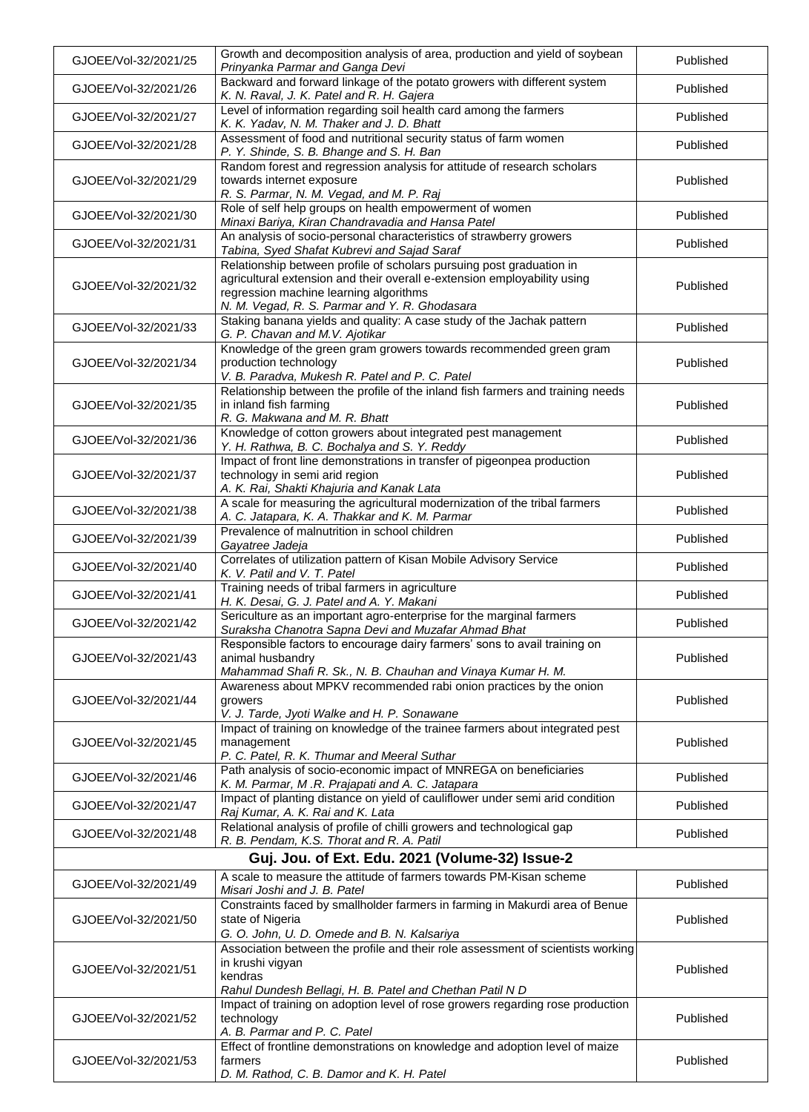| GJOEE/Vol-32/2021/25 | Growth and decomposition analysis of area, production and yield of soybean<br>Prinyanka Parmar and Ganga Devi                                                                                                                               | Published |
|----------------------|---------------------------------------------------------------------------------------------------------------------------------------------------------------------------------------------------------------------------------------------|-----------|
| GJOEE/Vol-32/2021/26 | Backward and forward linkage of the potato growers with different system<br>K. N. Raval, J. K. Patel and R. H. Gajera                                                                                                                       | Published |
| GJOEE/Vol-32/2021/27 | Level of information regarding soil health card among the farmers<br>K. K. Yadav, N. M. Thaker and J. D. Bhatt                                                                                                                              | Published |
| GJOEE/Vol-32/2021/28 | Assessment of food and nutritional security status of farm women<br>P. Y. Shinde, S. B. Bhange and S. H. Ban                                                                                                                                | Published |
| GJOEE/Vol-32/2021/29 | Random forest and regression analysis for attitude of research scholars<br>towards internet exposure<br>R. S. Parmar, N. M. Vegad, and M. P. Raj                                                                                            | Published |
| GJOEE/Vol-32/2021/30 | Role of self help groups on health empowerment of women<br>Minaxi Bariya, Kiran Chandravadia and Hansa Patel                                                                                                                                | Published |
| GJOEE/Vol-32/2021/31 | An analysis of socio-personal characteristics of strawberry growers<br>Tabina, Syed Shafat Kubrevi and Sajad Saraf                                                                                                                          | Published |
| GJOEE/Vol-32/2021/32 | Relationship between profile of scholars pursuing post graduation in<br>agricultural extension and their overall e-extension employability using<br>regression machine learning algorithms<br>N. M. Vegad, R. S. Parmar and Y. R. Ghodasara | Published |
| GJOEE/Vol-32/2021/33 | Staking banana yields and quality: A case study of the Jachak pattern<br>G. P. Chavan and M.V. Ajotikar                                                                                                                                     | Published |
| GJOEE/Vol-32/2021/34 | Knowledge of the green gram growers towards recommended green gram<br>production technology<br>V. B. Paradva, Mukesh R. Patel and P. C. Patel                                                                                               | Published |
| GJOEE/Vol-32/2021/35 | Relationship between the profile of the inland fish farmers and training needs<br>in inland fish farming<br>R. G. Makwana and M. R. Bhatt                                                                                                   | Published |
| GJOEE/Vol-32/2021/36 | Knowledge of cotton growers about integrated pest management<br>Y. H. Rathwa, B. C. Bochalya and S. Y. Reddy                                                                                                                                | Published |
| GJOEE/Vol-32/2021/37 | Impact of front line demonstrations in transfer of pigeonpea production<br>technology in semi arid region<br>A. K. Rai, Shakti Khajuria and Kanak Lata                                                                                      | Published |
| GJOEE/Vol-32/2021/38 | A scale for measuring the agricultural modernization of the tribal farmers<br>A. C. Jatapara, K. A. Thakkar and K. M. Parmar                                                                                                                | Published |
| GJOEE/Vol-32/2021/39 | Prevalence of malnutrition in school children<br>Gayatree Jadeja                                                                                                                                                                            | Published |
| GJOEE/Vol-32/2021/40 | Correlates of utilization pattern of Kisan Mobile Advisory Service<br>K. V. Patil and V. T. Patel                                                                                                                                           | Published |
| GJOEE/Vol-32/2021/41 | Training needs of tribal farmers in agriculture<br>H. K. Desai, G. J. Patel and A. Y. Makani                                                                                                                                                | Published |
| GJOEE/Vol-32/2021/42 | Sericulture as an important agro-enterprise for the marginal farmers<br>Suraksha Chanotra Sapna Devi and Muzafar Ahmad Bhat                                                                                                                 | Published |
| GJOEE/Vol-32/2021/43 | Responsible factors to encourage dairy farmers' sons to avail training on<br>animal husbandry<br>Mahammad Shafi R. Sk., N. B. Chauhan and Vinaya Kumar H. M.                                                                                | Published |
| GJOEE/Vol-32/2021/44 | Awareness about MPKV recommended rabi onion practices by the onion<br>growers<br>V. J. Tarde, Jyoti Walke and H. P. Sonawane                                                                                                                | Published |
| GJOEE/Vol-32/2021/45 | Impact of training on knowledge of the trainee farmers about integrated pest<br>management<br>P. C. Patel, R. K. Thumar and Meeral Suthar                                                                                                   | Published |
| GJOEE/Vol-32/2021/46 | Path analysis of socio-economic impact of MNREGA on beneficiaries<br>K. M. Parmar, M.R. Prajapati and A. C. Jatapara                                                                                                                        | Published |
| GJOEE/Vol-32/2021/47 | Impact of planting distance on yield of cauliflower under semi arid condition<br>Raj Kumar, A. K. Rai and K. Lata                                                                                                                           | Published |
| GJOEE/Vol-32/2021/48 | Relational analysis of profile of chilli growers and technological gap<br>R. B. Pendam, K.S. Thorat and R. A. Patil                                                                                                                         | Published |
|                      | Guj. Jou. of Ext. Edu. 2021 (Volume-32) Issue-2                                                                                                                                                                                             |           |
| GJOEE/Vol-32/2021/49 | A scale to measure the attitude of farmers towards PM-Kisan scheme<br>Misari Joshi and J. B. Patel                                                                                                                                          | Published |
| GJOEE/Vol-32/2021/50 | Constraints faced by smallholder farmers in farming in Makurdi area of Benue<br>state of Nigeria<br>G. O. John, U. D. Omede and B. N. Kalsariya                                                                                             | Published |
| GJOEE/Vol-32/2021/51 | Association between the profile and their role assessment of scientists working<br>in krushi vigyan<br>kendras<br>Rahul Dundesh Bellagi, H. B. Patel and Chethan Patil N D                                                                  | Published |
| GJOEE/Vol-32/2021/52 | Impact of training on adoption level of rose growers regarding rose production<br>technology<br>A. B. Parmar and P. C. Patel                                                                                                                | Published |
| GJOEE/Vol-32/2021/53 | Effect of frontline demonstrations on knowledge and adoption level of maize<br>farmers<br>D. M. Rathod, C. B. Damor and K. H. Patel                                                                                                         | Published |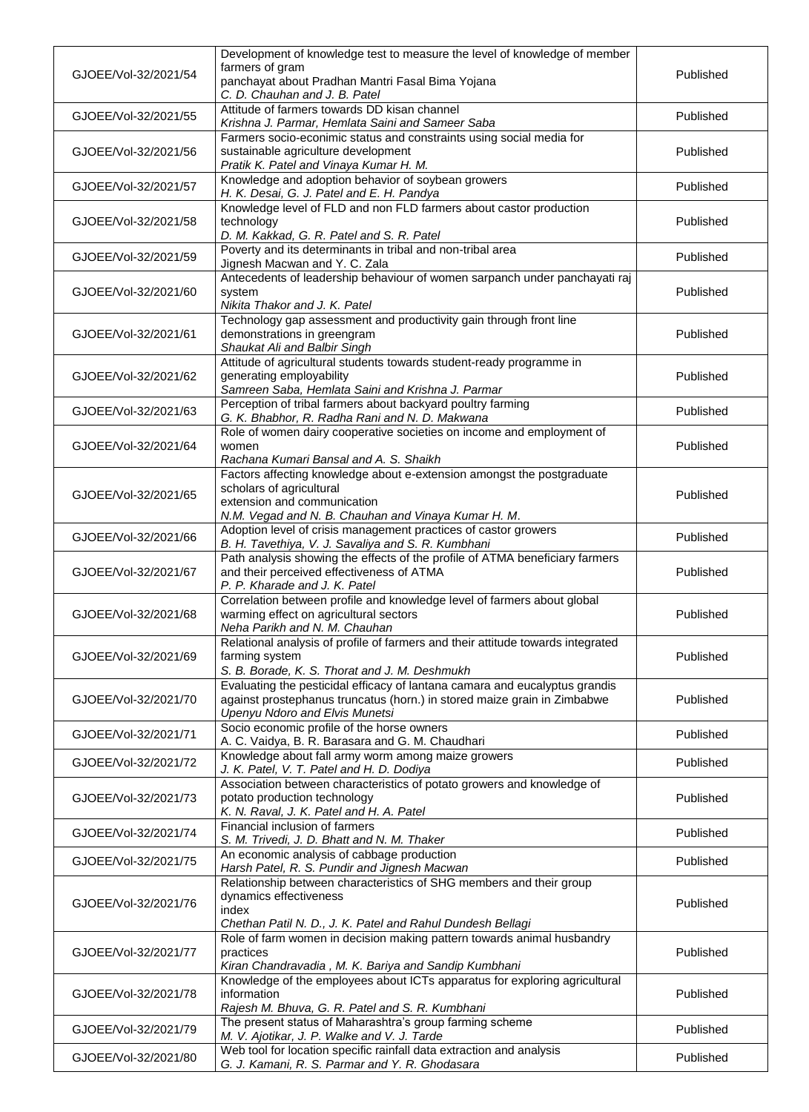|                      | Development of knowledge test to measure the level of knowledge of member                                                          |           |
|----------------------|------------------------------------------------------------------------------------------------------------------------------------|-----------|
| GJOEE/Vol-32/2021/54 | farmers of gram                                                                                                                    | Published |
|                      | panchayat about Pradhan Mantri Fasal Bima Yojana<br>C. D. Chauhan and J. B. Patel                                                  |           |
|                      | Attitude of farmers towards DD kisan channel                                                                                       |           |
| GJOEE/Vol-32/2021/55 | Krishna J. Parmar, Hemlata Saini and Sameer Saba                                                                                   | Published |
|                      | Farmers socio-econimic status and constraints using social media for                                                               |           |
| GJOEE/Vol-32/2021/56 | sustainable agriculture development                                                                                                | Published |
|                      | Pratik K. Patel and Vinaya Kumar H. M.                                                                                             |           |
| GJOEE/Vol-32/2021/57 | Knowledge and adoption behavior of soybean growers                                                                                 | Published |
|                      | H. K. Desai, G. J. Patel and E. H. Pandya                                                                                          |           |
|                      | Knowledge level of FLD and non FLD farmers about castor production                                                                 |           |
| GJOEE/Vol-32/2021/58 | technology<br>D. M. Kakkad, G. R. Patel and S. R. Patel                                                                            | Published |
|                      | Poverty and its determinants in tribal and non-tribal area                                                                         |           |
| GJOEE/Vol-32/2021/59 | Jignesh Macwan and Y. C. Zala                                                                                                      | Published |
|                      | Antecedents of leadership behaviour of women sarpanch under panchayati raj                                                         |           |
| GJOEE/Vol-32/2021/60 | system                                                                                                                             | Published |
|                      | Nikita Thakor and J. K. Patel                                                                                                      |           |
|                      | Technology gap assessment and productivity gain through front line                                                                 |           |
| GJOEE/Vol-32/2021/61 | demonstrations in greengram                                                                                                        | Published |
|                      | Shaukat Ali and Balbir Singh                                                                                                       |           |
|                      | Attitude of agricultural students towards student-ready programme in                                                               |           |
| GJOEE/Vol-32/2021/62 | generating employability                                                                                                           | Published |
|                      | Samreen Saba, Hemlata Saini and Krishna J. Parmar<br>Perception of tribal farmers about backyard poultry farming                   |           |
| GJOEE/Vol-32/2021/63 | G. K. Bhabhor, R. Radha Rani and N. D. Makwana                                                                                     | Published |
|                      | Role of women dairy cooperative societies on income and employment of                                                              |           |
| GJOEE/Vol-32/2021/64 | women                                                                                                                              | Published |
|                      | Rachana Kumari Bansal and A. S. Shaikh                                                                                             |           |
|                      | Factors affecting knowledge about e-extension amongst the postgraduate                                                             |           |
| GJOEE/Vol-32/2021/65 | scholars of agricultural                                                                                                           | Published |
|                      | extension and communication                                                                                                        |           |
|                      | N.M. Vegad and N. B. Chauhan and Vinaya Kumar H. M.                                                                                |           |
| GJOEE/Vol-32/2021/66 | Adoption level of crisis management practices of castor growers                                                                    | Published |
|                      | B. H. Tavethiya, V. J. Savaliya and S. R. Kumbhani<br>Path analysis showing the effects of the profile of ATMA beneficiary farmers |           |
| GJOEE/Vol-32/2021/67 | and their perceived effectiveness of ATMA                                                                                          | Published |
|                      | P. P. Kharade and J. K. Patel                                                                                                      |           |
|                      | Correlation between profile and knowledge level of farmers about global                                                            |           |
| GJOEE/Vol-32/2021/68 | warming effect on agricultural sectors                                                                                             | Published |
|                      | Neha Parikh and N. M. Chauhan                                                                                                      |           |
|                      | Relational analysis of profile of farmers and their attitude towards integrated                                                    |           |
| GJOEE/Vol-32/2021/69 | farming system                                                                                                                     | Published |
|                      | S. B. Borade, K. S. Thorat and J. M. Deshmukh                                                                                      |           |
|                      | Evaluating the pesticidal efficacy of lantana camara and eucalyptus grandis                                                        |           |
| GJOEE/Vol-32/2021/70 | against prostephanus truncatus (horn.) in stored maize grain in Zimbabwe<br>Upenyu Ndoro and Elvis Munetsi                         | Published |
|                      | Socio economic profile of the horse owners                                                                                         |           |
| GJOEE/Vol-32/2021/71 | A. C. Vaidya, B. R. Barasara and G. M. Chaudhari                                                                                   | Published |
|                      | Knowledge about fall army worm among maize growers                                                                                 |           |
| GJOEE/Vol-32/2021/72 | J. K. Patel, V. T. Patel and H. D. Dodiya                                                                                          | Published |
|                      | Association between characteristics of potato growers and knowledge of                                                             |           |
| GJOEE/Vol-32/2021/73 | potato production technology                                                                                                       | Published |
|                      | K. N. Raval, J. K. Patel and H. A. Patel                                                                                           |           |
| GJOEE/Vol-32/2021/74 | Financial inclusion of farmers                                                                                                     | Published |
|                      | S. M. Trivedi, J. D. Bhatt and N. M. Thaker                                                                                        |           |
| GJOEE/Vol-32/2021/75 | An economic analysis of cabbage production<br>Harsh Patel, R. S. Pundir and Jignesh Macwan                                         | Published |
|                      | Relationship between characteristics of SHG members and their group                                                                |           |
|                      | dynamics effectiveness                                                                                                             |           |
| GJOEE/Vol-32/2021/76 | index                                                                                                                              | Published |
|                      | Chethan Patil N. D., J. K. Patel and Rahul Dundesh Bellagi                                                                         |           |
|                      | Role of farm women in decision making pattern towards animal husbandry                                                             |           |
| GJOEE/Vol-32/2021/77 | practices                                                                                                                          | Published |
|                      | Kiran Chandravadia, M. K. Bariya and Sandip Kumbhani                                                                               |           |
|                      | Knowledge of the employees about ICTs apparatus for exploring agricultural                                                         |           |
| GJOEE/Vol-32/2021/78 | information                                                                                                                        | Published |
|                      | Rajesh M. Bhuva, G. R. Patel and S. R. Kumbhani<br>The present status of Maharashtra's group farming scheme                        |           |
| GJOEE/Vol-32/2021/79 | M. V. Ajotikar, J. P. Walke and V. J. Tarde                                                                                        | Published |
|                      | Web tool for location specific rainfall data extraction and analysis                                                               |           |
| GJOEE/Vol-32/2021/80 | G. J. Kamani, R. S. Parmar and Y. R. Ghodasara                                                                                     | Published |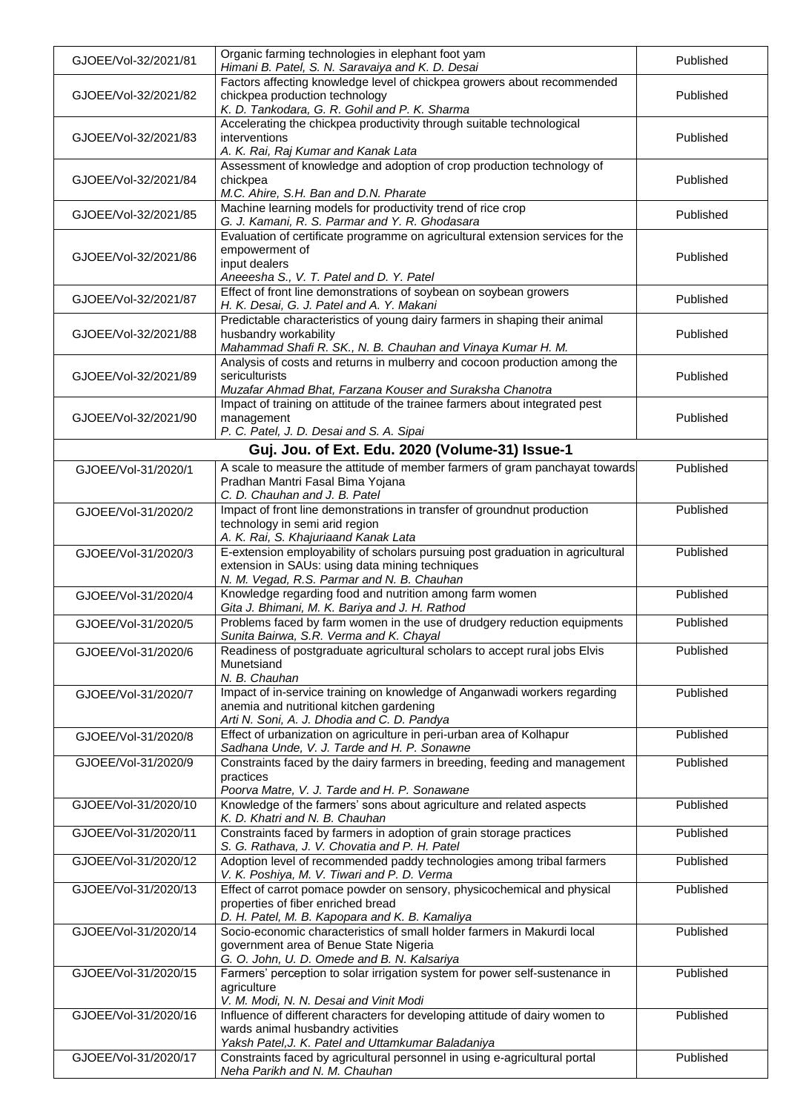| GJOEE/Vol-32/2021/81 | Organic farming technologies in elephant foot yam<br>Himani B. Patel, S. N. Saravaiya and K. D. Desai                                                                           | Published |
|----------------------|---------------------------------------------------------------------------------------------------------------------------------------------------------------------------------|-----------|
| GJOEE/Vol-32/2021/82 | Factors affecting knowledge level of chickpea growers about recommended<br>chickpea production technology<br>K. D. Tankodara, G. R. Gohil and P. K. Sharma                      | Published |
| GJOEE/Vol-32/2021/83 | Accelerating the chickpea productivity through suitable technological<br>interventions<br>A. K. Rai, Raj Kumar and Kanak Lata                                                   | Published |
| GJOEE/Vol-32/2021/84 | Assessment of knowledge and adoption of crop production technology of<br>chickpea<br>M.C. Ahire, S.H. Ban and D.N. Pharate                                                      | Published |
| GJOEE/Vol-32/2021/85 | Machine learning models for productivity trend of rice crop<br>G. J. Kamani, R. S. Parmar and Y. R. Ghodasara                                                                   | Published |
| GJOEE/Vol-32/2021/86 | Evaluation of certificate programme on agricultural extension services for the<br>empowerment of<br>input dealers<br>Aneeesha S., V. T. Patel and D. Y. Patel                   | Published |
| GJOEE/Vol-32/2021/87 | Effect of front line demonstrations of soybean on soybean growers<br>H. K. Desai, G. J. Patel and A. Y. Makani                                                                  | Published |
| GJOEE/Vol-32/2021/88 | Predictable characteristics of young dairy farmers in shaping their animal<br>husbandry workability<br>Mahammad Shafi R. SK., N. B. Chauhan and Vinaya Kumar H. M.              | Published |
| GJOEE/Vol-32/2021/89 | Analysis of costs and returns in mulberry and cocoon production among the<br>sericulturists<br>Muzafar Ahmad Bhat, Farzana Kouser and Suraksha Chanotra                         | Published |
| GJOEE/Vol-32/2021/90 | Impact of training on attitude of the trainee farmers about integrated pest<br>management<br>P. C. Patel, J. D. Desai and S. A. Sipai                                           | Published |
|                      | Guj. Jou. of Ext. Edu. 2020 (Volume-31) Issue-1                                                                                                                                 |           |
| GJOEE/Vol-31/2020/1  | A scale to measure the attitude of member farmers of gram panchayat towards<br>Pradhan Mantri Fasal Bima Yojana<br>C. D. Chauhan and J. B. Patel                                | Published |
| GJOEE/Vol-31/2020/2  | Impact of front line demonstrations in transfer of groundnut production<br>technology in semi arid region<br>A. K. Rai, S. Khajuriaand Kanak Lata                               | Published |
| GJOEE/Vol-31/2020/3  | E-extension employability of scholars pursuing post graduation in agricultural<br>extension in SAUs: using data mining techniques<br>N. M. Vegad, R.S. Parmar and N. B. Chauhan | Published |
| GJOEE/Vol-31/2020/4  | Knowledge regarding food and nutrition among farm women<br>Gita J. Bhimani, M. K. Bariya and J. H. Rathod                                                                       | Published |
| GJOEE/Vol-31/2020/5  | Problems faced by farm women in the use of drudgery reduction equipments<br>Sunita Bairwa, S.R. Verma and K. Chayal                                                             | Published |
| GJOEE/Vol-31/2020/6  | Readiness of postgraduate agricultural scholars to accept rural jobs Elvis<br>Munetsiand<br>N. B. Chauhan                                                                       | Published |
| GJOEE/Vol-31/2020/7  | Impact of in-service training on knowledge of Anganwadi workers regarding<br>anemia and nutritional kitchen gardening<br>Arti N. Soni, A. J. Dhodia and C. D. Pandya            | Published |
| GJOEE/Vol-31/2020/8  | Effect of urbanization on agriculture in peri-urban area of Kolhapur<br>Sadhana Unde, V. J. Tarde and H. P. Sonawne                                                             | Published |
| GJOEE/Vol-31/2020/9  | Constraints faced by the dairy farmers in breeding, feeding and management<br>practices<br>Poorva Matre, V. J. Tarde and H. P. Sonawane                                         | Published |
| GJOEE/Vol-31/2020/10 | Knowledge of the farmers' sons about agriculture and related aspects<br>K. D. Khatri and N. B. Chauhan                                                                          | Published |
| GJOEE/Vol-31/2020/11 | Constraints faced by farmers in adoption of grain storage practices<br>S. G. Rathava, J. V. Chovatia and P. H. Patel                                                            | Published |
| GJOEE/Vol-31/2020/12 | Adoption level of recommended paddy technologies among tribal farmers<br>V. K. Poshiya, M. V. Tiwari and P. D. Verma                                                            | Published |
| GJOEE/Vol-31/2020/13 | Effect of carrot pomace powder on sensory, physicochemical and physical<br>properties of fiber enriched bread<br>D. H. Patel, M. B. Kapopara and K. B. Kamaliya                 | Published |
| GJOEE/Vol-31/2020/14 | Socio-economic characteristics of small holder farmers in Makurdi local<br>government area of Benue State Nigeria<br>G. O. John, U. D. Omede and B. N. Kalsariya                | Published |
| GJOEE/Vol-31/2020/15 | Farmers' perception to solar irrigation system for power self-sustenance in<br>agriculture<br>V. M. Modi, N. N. Desai and Vinit Modi                                            | Published |
| GJOEE/Vol-31/2020/16 | Influence of different characters for developing attitude of dairy women to<br>wards animal husbandry activities<br>Yaksh Patel, J. K. Patel and Uttamkumar Baladaniya          | Published |
| GJOEE/Vol-31/2020/17 | Constraints faced by agricultural personnel in using e-agricultural portal<br>Neha Parikh and N. M. Chauhan                                                                     | Published |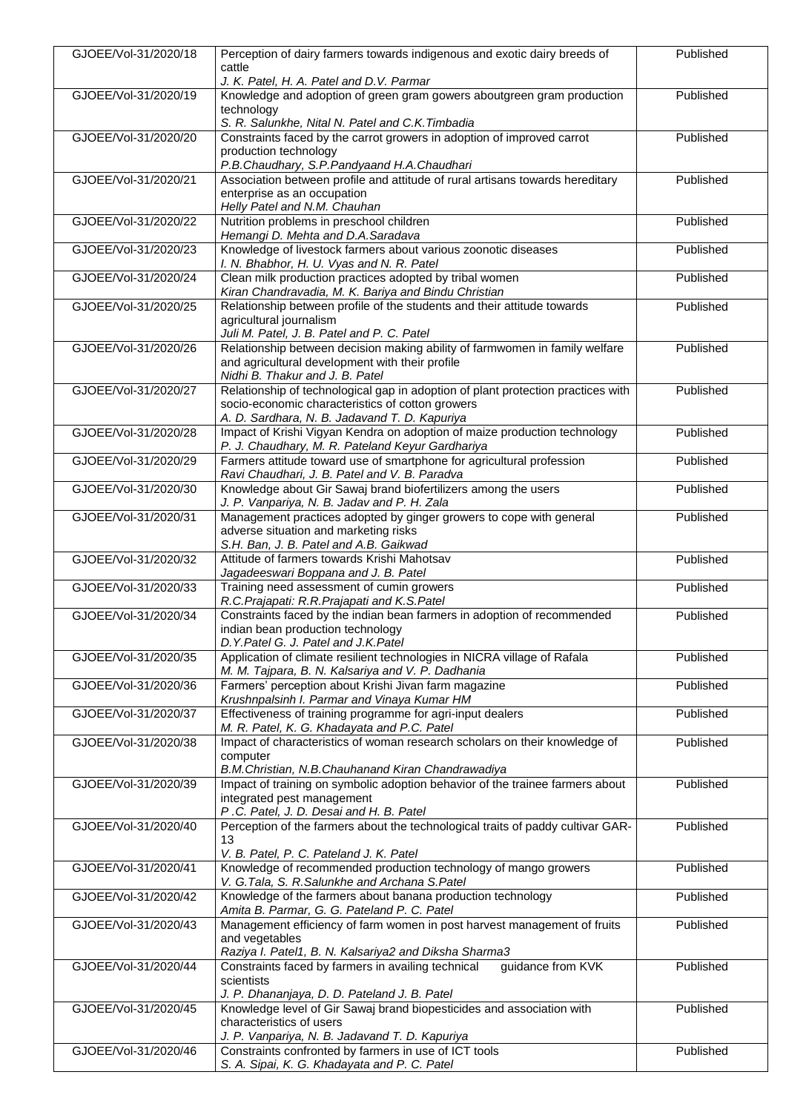| GJOEE/Vol-31/2020/18 | Perception of dairy farmers towards indigenous and exotic dairy breeds of                                                   | Published |
|----------------------|-----------------------------------------------------------------------------------------------------------------------------|-----------|
|                      | cattle                                                                                                                      |           |
|                      | J. K. Patel, H. A. Patel and D.V. Parmar                                                                                    |           |
| GJOEE/Vol-31/2020/19 | Knowledge and adoption of green gram gowers aboutgreen gram production                                                      | Published |
|                      | technology                                                                                                                  |           |
|                      | S. R. Salunkhe, Nital N. Patel and C.K. Timbadia                                                                            |           |
| GJOEE/Vol-31/2020/20 | Constraints faced by the carrot growers in adoption of improved carrot                                                      | Published |
|                      | production technology                                                                                                       |           |
|                      | P.B.Chaudhary, S.P.Pandyaand H.A.Chaudhari<br>Association between profile and attitude of rural artisans towards hereditary |           |
| GJOEE/Vol-31/2020/21 |                                                                                                                             | Published |
|                      | enterprise as an occupation<br>Helly Patel and N.M. Chauhan                                                                 |           |
| GJOEE/Vol-31/2020/22 | Nutrition problems in preschool children                                                                                    | Published |
|                      | Hemangi D. Mehta and D.A. Saradava                                                                                          |           |
| GJOEE/Vol-31/2020/23 | Knowledge of livestock farmers about various zoonotic diseases                                                              | Published |
|                      | I. N. Bhabhor, H. U. Vyas and N. R. Patel                                                                                   |           |
| GJOEE/Vol-31/2020/24 | Clean milk production practices adopted by tribal women                                                                     | Published |
|                      | Kiran Chandravadia, M. K. Bariya and Bindu Christian                                                                        |           |
| GJOEE/Vol-31/2020/25 | Relationship between profile of the students and their attitude towards                                                     | Published |
|                      | agricultural journalism                                                                                                     |           |
|                      | Juli M. Patel, J. B. Patel and P. C. Patel                                                                                  |           |
| GJOEE/Vol-31/2020/26 | Relationship between decision making ability of farmwomen in family welfare                                                 | Published |
|                      | and agricultural development with their profile                                                                             |           |
|                      | Nidhi B. Thakur and J. B. Patel                                                                                             |           |
| GJOEE/Vol-31/2020/27 | Relationship of technological gap in adoption of plant protection practices with                                            | Published |
|                      | socio-economic characteristics of cotton growers                                                                            |           |
|                      | A. D. Sardhara, N. B. Jadavand T. D. Kapuriya                                                                               |           |
| GJOEE/Vol-31/2020/28 | Impact of Krishi Vigyan Kendra on adoption of maize production technology                                                   | Published |
|                      | P. J. Chaudhary, M. R. Pateland Keyur Gardhariya                                                                            |           |
| GJOEE/Vol-31/2020/29 | Farmers attitude toward use of smartphone for agricultural profession                                                       | Published |
|                      | Ravi Chaudhari, J. B. Patel and V. B. Paradva                                                                               |           |
| GJOEE/Vol-31/2020/30 | Knowledge about Gir Sawaj brand biofertilizers among the users                                                              | Published |
|                      | J. P. Vanpariya, N. B. Jadav and P. H. Zala                                                                                 |           |
| GJOEE/Vol-31/2020/31 | Management practices adopted by ginger growers to cope with general                                                         | Published |
|                      | adverse situation and marketing risks<br>S.H. Ban, J. B. Patel and A.B. Gaikwad                                             |           |
| GJOEE/Vol-31/2020/32 | Attitude of farmers towards Krishi Mahotsav                                                                                 | Published |
|                      | Jagadeeswari Boppana and J. B. Patel                                                                                        |           |
| GJOEE/Vol-31/2020/33 | Training need assessment of cumin growers                                                                                   | Published |
|                      | R.C.Prajapati: R.R.Prajapati and K.S.Patel                                                                                  |           |
| GJOEE/Vol-31/2020/34 | Constraints faced by the indian bean farmers in adoption of recommended                                                     | Published |
|                      | indian bean production technology                                                                                           |           |
|                      | D.Y.Patel G. J. Patel and J.K.Patel                                                                                         |           |
| GJOEE/Vol-31/2020/35 | Application of climate resilient technologies in NICRA village of Rafala                                                    | Published |
|                      | M. M. Tajpara, B. N. Kalsariya and V. P. Dadhania                                                                           |           |
| GJOEE/Vol-31/2020/36 | Farmers' perception about Krishi Jivan farm magazine                                                                        | Published |
|                      | Krushnpalsinh I. Parmar and Vinaya Kumar HM                                                                                 |           |
| GJOEE/Vol-31/2020/37 | Effectiveness of training programme for agri-input dealers                                                                  | Published |
|                      | M. R. Patel, K. G. Khadayata and P.C. Patel                                                                                 |           |
| GJOEE/Vol-31/2020/38 | Impact of characteristics of woman research scholars on their knowledge of                                                  | Published |
|                      | computer                                                                                                                    |           |
|                      | B.M.Christian, N.B.Chauhanand Kiran Chandrawadiya                                                                           |           |
| GJOEE/Vol-31/2020/39 | Impact of training on symbolic adoption behavior of the trainee farmers about                                               | Published |
|                      | integrated pest management                                                                                                  |           |
| GJOEE/Vol-31/2020/40 | P.C. Patel, J. D. Desai and H. B. Patel                                                                                     | Published |
|                      | Perception of the farmers about the technological traits of paddy cultivar GAR-<br>13                                       |           |
|                      | V. B. Patel, P. C. Pateland J. K. Patel                                                                                     |           |
| GJOEE/Vol-31/2020/41 | Knowledge of recommended production technology of mango growers                                                             | Published |
|                      | V. G. Tala, S. R. Salunkhe and Archana S. Patel                                                                             |           |
| GJOEE/Vol-31/2020/42 | Knowledge of the farmers about banana production technology                                                                 | Published |
|                      | Amita B. Parmar, G. G. Pateland P. C. Patel                                                                                 |           |
| GJOEE/Vol-31/2020/43 | Management efficiency of farm women in post harvest management of fruits                                                    | Published |
|                      | and vegetables                                                                                                              |           |
|                      | Raziya I. Patel1, B. N. Kalsariya2 and Diksha Sharma3                                                                       |           |
| GJOEE/Vol-31/2020/44 | Constraints faced by farmers in availing technical<br>guidance from KVK                                                     | Published |
|                      | scientists                                                                                                                  |           |
|                      | J. P. Dhananjaya, D. D. Pateland J. B. Patel                                                                                |           |
| GJOEE/Vol-31/2020/45 | Knowledge level of Gir Sawaj brand biopesticides and association with                                                       | Published |
|                      | characteristics of users                                                                                                    |           |
|                      | J. P. Vanpariya, N. B. Jadavand T. D. Kapuriya                                                                              |           |
| GJOEE/Vol-31/2020/46 | Constraints confronted by farmers in use of ICT tools                                                                       | Published |
|                      | S. A. Sipai, K. G. Khadayata and P. C. Patel                                                                                |           |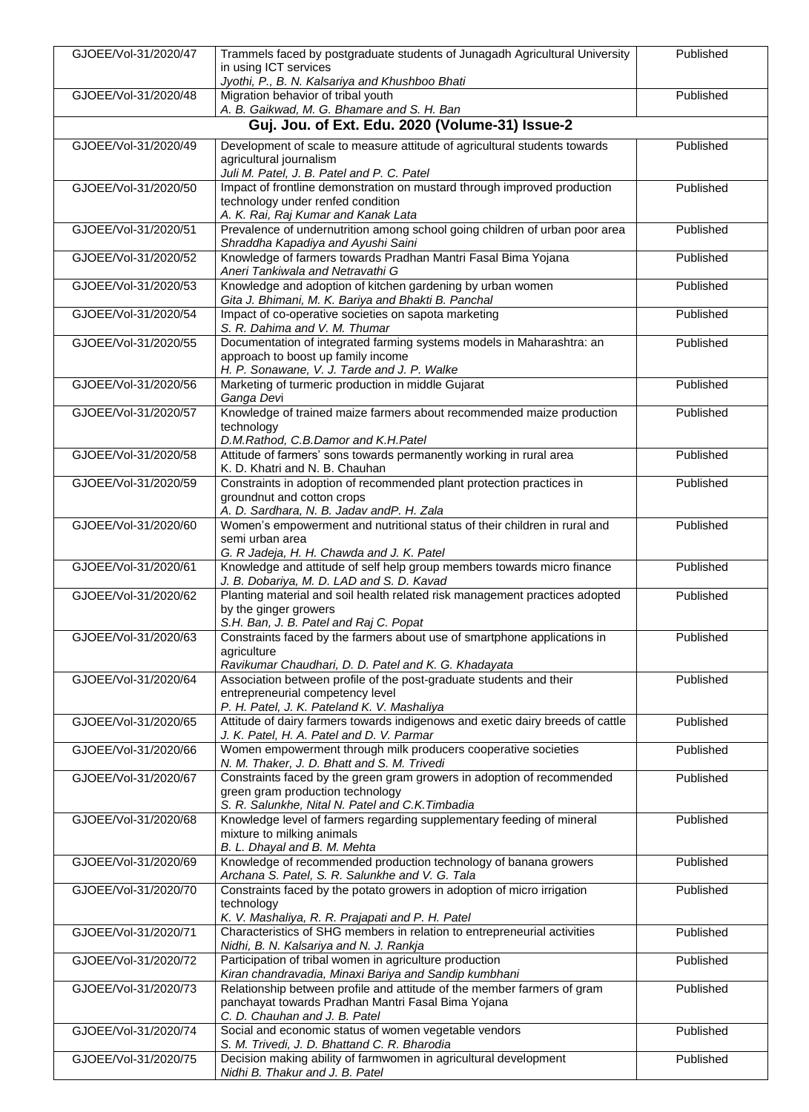| GJOEE/Vol-31/2020/47 | Trammels faced by postgraduate students of Junagadh Agricultural University<br>in using ICT services<br>Jyothi, P., B. N. Kalsariya and Khushboo Bhati         | Published |
|----------------------|----------------------------------------------------------------------------------------------------------------------------------------------------------------|-----------|
| GJOEE/Vol-31/2020/48 | Migration behavior of tribal youth                                                                                                                             | Published |
|                      | A. B. Gaikwad, M. G. Bhamare and S. H. Ban<br>Guj. Jou. of Ext. Edu. 2020 (Volume-31) Issue-2                                                                  |           |
| GJOEE/Vol-31/2020/49 | Development of scale to measure attitude of agricultural students towards<br>agricultural journalism<br>Juli M. Patel, J. B. Patel and P. C. Patel             | Published |
| GJOEE/Vol-31/2020/50 | Impact of frontline demonstration on mustard through improved production<br>technology under renfed condition<br>A. K. Rai, Raj Kumar and Kanak Lata           | Published |
| GJOEE/Vol-31/2020/51 | Prevalence of undernutrition among school going children of urban poor area<br>Shraddha Kapadiya and Ayushi Saini                                              | Published |
| GJOEE/Vol-31/2020/52 | Knowledge of farmers towards Pradhan Mantri Fasal Bima Yojana<br>Aneri Tankiwala and Netravathi G                                                              | Published |
| GJOEE/Vol-31/2020/53 | Knowledge and adoption of kitchen gardening by urban women<br>Gita J. Bhimani, M. K. Bariya and Bhakti B. Panchal                                              | Published |
| GJOEE/Vol-31/2020/54 | Impact of co-operative societies on sapota marketing<br>S. R. Dahima and V. M. Thumar                                                                          | Published |
| GJOEE/Vol-31/2020/55 | Documentation of integrated farming systems models in Maharashtra: an<br>approach to boost up family income<br>H. P. Sonawane, V. J. Tarde and J. P. Walke     | Published |
| GJOEE/Vol-31/2020/56 | Marketing of turmeric production in middle Gujarat<br>Ganga Devi                                                                                               | Published |
| GJOEE/Vol-31/2020/57 | Knowledge of trained maize farmers about recommended maize production<br>technology<br>D.M.Rathod, C.B.Damor and K.H.Patel                                     | Published |
| GJOEE/Vol-31/2020/58 | Attitude of farmers' sons towards permanently working in rural area<br>K. D. Khatri and N. B. Chauhan                                                          | Published |
| GJOEE/Vol-31/2020/59 | Constraints in adoption of recommended plant protection practices in<br>groundnut and cotton crops<br>A. D. Sardhara, N. B. Jadav andP. H. Zala                | Published |
| GJOEE/Vol-31/2020/60 | Women's empowerment and nutritional status of their children in rural and<br>semi urban area<br>G. R Jadeja, H. H. Chawda and J. K. Patel                      | Published |
| GJOEE/Vol-31/2020/61 | Knowledge and attitude of self help group members towards micro finance<br>J. B. Dobariya, M. D. LAD and S. D. Kavad                                           | Published |
| GJOEE/Vol-31/2020/62 | Planting material and soil health related risk management practices adopted<br>by the ginger growers<br>S.H. Ban, J. B. Patel and Raj C. Popat                 | Published |
| GJOEE/Vol-31/2020/63 | Constraints faced by the farmers about use of smartphone applications in<br>agriculture<br>Ravikumar Chaudhari, D. D. Patel and K. G. Khadayata                | Published |
| GJOEE/Vol-31/2020/64 | Association between profile of the post-graduate students and their<br>entrepreneurial competency level<br>P. H. Patel, J. K. Pateland K. V. Mashaliya         | Published |
| GJOEE/Vol-31/2020/65 | Attitude of dairy farmers towards indigenows and exetic dairy breeds of cattle<br>J. K. Patel, H. A. Patel and D. V. Parmar                                    | Published |
| GJOEE/Vol-31/2020/66 | Women empowerment through milk producers cooperative societies<br>N. M. Thaker, J. D. Bhatt and S. M. Trivedi                                                  | Published |
| GJOEE/Vol-31/2020/67 | Constraints faced by the green gram growers in adoption of recommended<br>green gram production technology<br>S. R. Salunkhe, Nital N. Patel and C.K. Timbadia | Published |
| GJOEE/Vol-31/2020/68 | Knowledge level of farmers regarding supplementary feeding of mineral<br>mixture to milking animals<br>B. L. Dhayal and B. M. Mehta                            | Published |
| GJOEE/Vol-31/2020/69 | Knowledge of recommended production technology of banana growers<br>Archana S. Patel, S. R. Salunkhe and V. G. Tala                                            | Published |
| GJOEE/Vol-31/2020/70 | Constraints faced by the potato growers in adoption of micro irrigation<br>technology<br>K. V. Mashaliya, R. R. Prajapati and P. H. Patel                      | Published |
| GJOEE/Vol-31/2020/71 | Characteristics of SHG members in relation to entrepreneurial activities<br>Nidhi, B. N. Kalsariya and N. J. Rankja                                            | Published |
| GJOEE/Vol-31/2020/72 | Participation of tribal women in agriculture production<br>Kiran chandravadia, Minaxi Bariya and Sandip kumbhani                                               | Published |
| GJOEE/Vol-31/2020/73 | Relationship between profile and attitude of the member farmers of gram<br>panchayat towards Pradhan Mantri Fasal Bima Yojana<br>C. D. Chauhan and J. B. Patel | Published |
| GJOEE/Vol-31/2020/74 | Social and economic status of women vegetable vendors<br>S. M. Trivedi, J. D. Bhattand C. R. Bharodia                                                          | Published |
| GJOEE/Vol-31/2020/75 | Decision making ability of farmwomen in agricultural development<br>Nidhi B. Thakur and J. B. Patel                                                            | Published |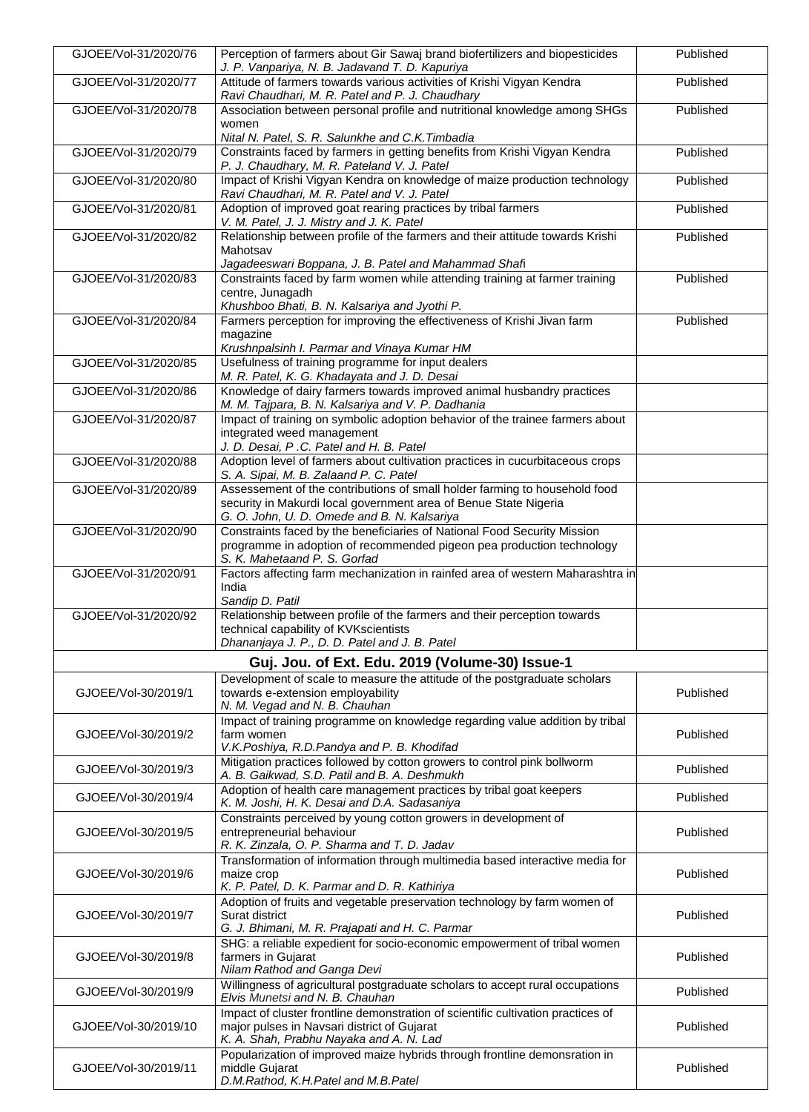| GJOEE/Vol-31/2020/76 | Perception of farmers about Gir Sawaj brand biofertilizers and biopesticides                | Published |
|----------------------|---------------------------------------------------------------------------------------------|-----------|
|                      | J. P. Vanpariya, N. B. Jadavand T. D. Kapuriya                                              |           |
| GJOEE/Vol-31/2020/77 | Attitude of farmers towards various activities of Krishi Vigyan Kendra                      | Published |
|                      | Ravi Chaudhari, M. R. Patel and P. J. Chaudhary                                             |           |
| GJOEE/Vol-31/2020/78 | Association between personal profile and nutritional knowledge among SHGs                   | Published |
|                      | women                                                                                       |           |
|                      | Nital N. Patel, S. R. Salunkhe and C.K. Timbadia                                            |           |
| GJOEE/Vol-31/2020/79 | Constraints faced by farmers in getting benefits from Krishi Vigyan Kendra                  | Published |
|                      | P. J. Chaudhary, M. R. Pateland V. J. Patel                                                 |           |
| GJOEE/Vol-31/2020/80 | Impact of Krishi Vigyan Kendra on knowledge of maize production technology                  | Published |
|                      | Ravi Chaudhari, M. R. Patel and V. J. Patel                                                 |           |
| GJOEE/Vol-31/2020/81 | Adoption of improved goat rearing practices by tribal farmers                               | Published |
|                      | V. M. Patel, J. J. Mistry and J. K. Patel                                                   |           |
| GJOEE/Vol-31/2020/82 | Relationship between profile of the farmers and their attitude towards Krishi               | Published |
|                      | Mahotsav                                                                                    |           |
|                      | Jagadeeswari Boppana, J. B. Patel and Mahammad Shafi                                        |           |
| GJOEE/Vol-31/2020/83 | Constraints faced by farm women while attending training at farmer training                 | Published |
|                      | centre, Junagadh                                                                            |           |
|                      | Khushboo Bhati, B. N. Kalsariya and Jyothi P.                                               |           |
| GJOEE/Vol-31/2020/84 | Farmers perception for improving the effectiveness of Krishi Jivan farm                     | Published |
|                      | magazine                                                                                    |           |
|                      | Krushnpalsinh I. Parmar and Vinaya Kumar HM                                                 |           |
| GJOEE/Vol-31/2020/85 | Usefulness of training programme for input dealers                                          |           |
|                      | M. R. Patel, K. G. Khadayata and J. D. Desai                                                |           |
| GJOEE/Vol-31/2020/86 | Knowledge of dairy farmers towards improved animal husbandry practices                      |           |
|                      | M. M. Tajpara, B. N. Kalsariya and V. P. Dadhania                                           |           |
| GJOEE/Vol-31/2020/87 | Impact of training on symbolic adoption behavior of the trainee farmers about               |           |
|                      | integrated weed management                                                                  |           |
|                      | J. D. Desai, P.C. Patel and H. B. Patel                                                     |           |
| GJOEE/Vol-31/2020/88 | Adoption level of farmers about cultivation practices in cucurbitaceous crops               |           |
|                      | S. A. Sipai, M. B. Zalaand P. C. Patel                                                      |           |
| GJOEE/Vol-31/2020/89 | Assessement of the contributions of small holder farming to household food                  |           |
|                      | security in Makurdi local government area of Benue State Nigeria                            |           |
|                      | G. O. John, U. D. Omede and B. N. Kalsariya                                                 |           |
| GJOEE/Vol-31/2020/90 | Constraints faced by the beneficiaries of National Food Security Mission                    |           |
|                      | programme in adoption of recommended pigeon pea production technology                       |           |
|                      | S. K. Mahetaand P. S. Gorfad                                                                |           |
|                      |                                                                                             |           |
|                      |                                                                                             |           |
| GJOEE/Vol-31/2020/91 | Factors affecting farm mechanization in rainfed area of western Maharashtra in              |           |
|                      | India                                                                                       |           |
|                      | Sandip D. Patil                                                                             |           |
| GJOEE/Vol-31/2020/92 | Relationship between profile of the farmers and their perception towards                    |           |
|                      | technical capability of KVKscientists                                                       |           |
|                      | Dhananjaya J. P., D. D. Patel and J. B. Patel                                               |           |
|                      | Guj. Jou. of Ext. Edu. 2019 (Volume-30) Issue-1                                             |           |
|                      | Development of scale to measure the attitude of the postgraduate scholars                   |           |
| GJOEE/Vol-30/2019/1  | towards e-extension employability                                                           | Published |
|                      | N. M. Vegad and N. B. Chauhan                                                               |           |
|                      | Impact of training programme on knowledge regarding value addition by tribal                |           |
| GJOEE/Vol-30/2019/2  | farm women                                                                                  | Published |
|                      | V.K.Poshiya, R.D.Pandya and P. B. Khodifad                                                  |           |
| GJOEE/Vol-30/2019/3  | Mitigation practices followed by cotton growers to control pink bollworm                    | Published |
|                      | A. B. Gaikwad, S.D. Patil and B. A. Deshmukh                                                |           |
| GJOEE/Vol-30/2019/4  | Adoption of health care management practices by tribal goat keepers                         | Published |
|                      | K. M. Joshi, H. K. Desai and D.A. Sadasaniya                                                |           |
|                      | Constraints perceived by young cotton growers in development of                             |           |
| GJOEE/Vol-30/2019/5  | entrepreneurial behaviour                                                                   | Published |
|                      | R. K. Zinzala, O. P. Sharma and T. D. Jadav                                                 |           |
| GJOEE/Vol-30/2019/6  | Transformation of information through multimedia based interactive media for                | Published |
|                      | maize crop                                                                                  |           |
|                      | K. P. Patel, D. K. Parmar and D. R. Kathiriya                                               |           |
| GJOEE/Vol-30/2019/7  | Adoption of fruits and vegetable preservation technology by farm women of<br>Surat district | Published |
|                      | G. J. Bhimani, M. R. Prajapati and H. C. Parmar                                             |           |
|                      | SHG: a reliable expedient for socio-economic empowerment of tribal women                    |           |
| GJOEE/Vol-30/2019/8  | farmers in Gujarat                                                                          | Published |
|                      | Nilam Rathod and Ganga Devi                                                                 |           |
|                      | Willingness of agricultural postgraduate scholars to accept rural occupations               |           |
| GJOEE/Vol-30/2019/9  | Elvis Munetsi and N. B. Chauhan                                                             | Published |
|                      | Impact of cluster frontline demonstration of scientific cultivation practices of            |           |
| GJOEE/Vol-30/2019/10 | major pulses in Navsari district of Gujarat                                                 | Published |
|                      | K. A. Shah, Prabhu Nayaka and A. N. Lad                                                     |           |
|                      | Popularization of improved maize hybrids through frontline demonsration in                  |           |
| GJOEE/Vol-30/2019/11 | middle Gujarat<br>D.M.Rathod, K.H.Patel and M.B.Patel                                       | Published |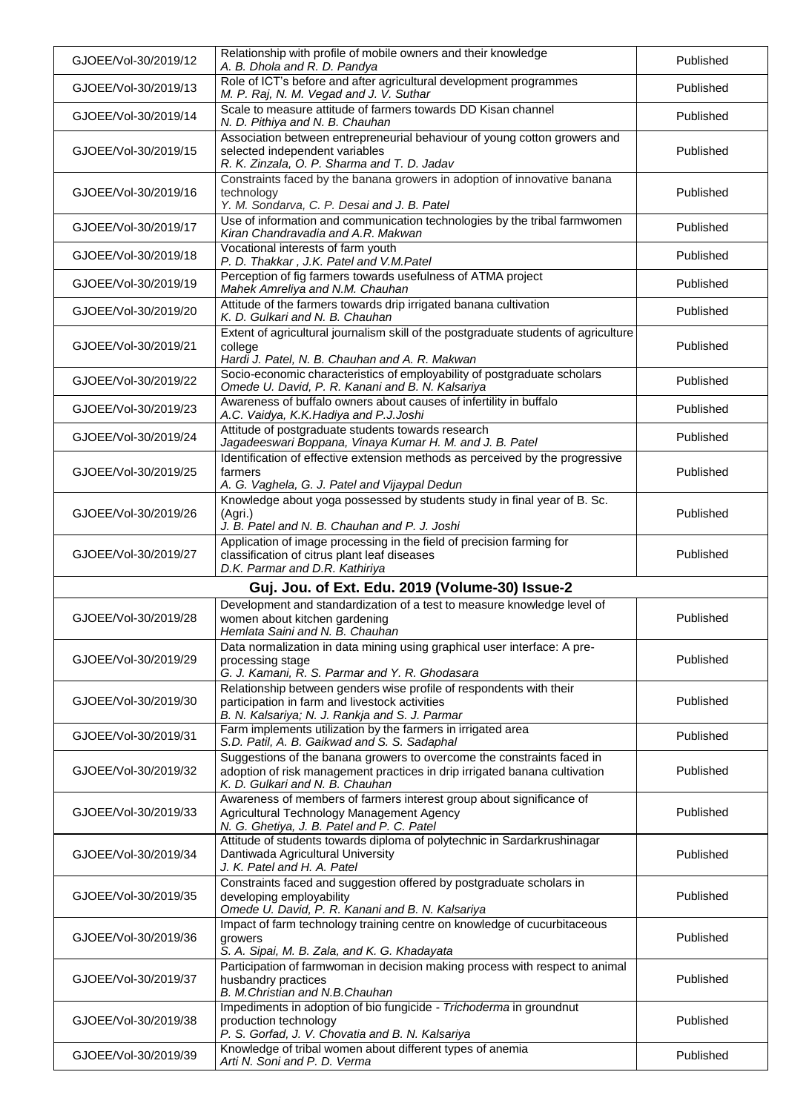| GJOEE/Vol-30/2019/12                            | Relationship with profile of mobile owners and their knowledge<br>A. B. Dhola and R. D. Pandya                                                                                          | Published |  |  |
|-------------------------------------------------|-----------------------------------------------------------------------------------------------------------------------------------------------------------------------------------------|-----------|--|--|
| GJOEE/Vol-30/2019/13                            | Role of ICT's before and after agricultural development programmes<br>M. P. Raj, N. M. Vegad and J. V. Suthar                                                                           | Published |  |  |
| GJOEE/Vol-30/2019/14                            | Scale to measure attitude of farmers towards DD Kisan channel<br>N. D. Pithiya and N. B. Chauhan                                                                                        | Published |  |  |
| GJOEE/Vol-30/2019/15                            | Association between entrepreneurial behaviour of young cotton growers and<br>selected independent variables<br>R. K. Zinzala, O. P. Sharma and T. D. Jadav                              | Published |  |  |
| GJOEE/Vol-30/2019/16                            | Constraints faced by the banana growers in adoption of innovative banana<br>technology<br>Y. M. Sondarva, C. P. Desai and J. B. Patel                                                   | Published |  |  |
| GJOEE/Vol-30/2019/17                            | Use of information and communication technologies by the tribal farmwomen<br>Kiran Chandravadia and A.R. Makwan                                                                         | Published |  |  |
| GJOEE/Vol-30/2019/18                            | Vocational interests of farm youth<br>P. D. Thakkar, J.K. Patel and V.M.Patel                                                                                                           | Published |  |  |
| GJOEE/Vol-30/2019/19                            | Perception of fig farmers towards usefulness of ATMA project<br>Mahek Amreliya and N.M. Chauhan                                                                                         | Published |  |  |
| GJOEE/Vol-30/2019/20                            | Attitude of the farmers towards drip irrigated banana cultivation<br>K. D. Gulkari and N. B. Chauhan                                                                                    | Published |  |  |
| GJOEE/Vol-30/2019/21                            | Extent of agricultural journalism skill of the postgraduate students of agriculture<br>college<br>Hardi J. Patel, N. B. Chauhan and A. R. Makwan                                        | Published |  |  |
| GJOEE/Vol-30/2019/22                            | Socio-economic characteristics of employability of postgraduate scholars<br>Omede U. David, P. R. Kanani and B. N. Kalsariya                                                            | Published |  |  |
| GJOEE/Vol-30/2019/23                            | Awareness of buffalo owners about causes of infertility in buffalo<br>A.C. Vaidya, K.K.Hadiya and P.J.Joshi                                                                             | Published |  |  |
| GJOEE/Vol-30/2019/24                            | Attitude of postgraduate students towards research<br>Jagadeeswari Boppana, Vinaya Kumar H. M. and J. B. Patel                                                                          | Published |  |  |
| GJOEE/Vol-30/2019/25                            | Identification of effective extension methods as perceived by the progressive<br>farmers<br>A. G. Vaghela, G. J. Patel and Vijaypal Dedun                                               | Published |  |  |
| GJOEE/Vol-30/2019/26                            | Knowledge about yoga possessed by students study in final year of B. Sc.<br>(Agri.)<br>J. B. Patel and N. B. Chauhan and P. J. Joshi                                                    | Published |  |  |
| GJOEE/Vol-30/2019/27                            | Application of image processing in the field of precision farming for<br>classification of citrus plant leaf diseases<br>D.K. Parmar and D.R. Kathiriya                                 | Published |  |  |
| Guj. Jou. of Ext. Edu. 2019 (Volume-30) Issue-2 |                                                                                                                                                                                         |           |  |  |
| GJOEE/Vol-30/2019/28                            | Development and standardization of a test to measure knowledge level of<br>women about kitchen gardening<br>Hemlata Saini and N. B. Chauhan                                             | Published |  |  |
| GJOEE/Vol-30/2019/29                            | Data normalization in data mining using graphical user interface: A pre-<br>processing stage<br>G. J. Kamani, R. S. Parmar and Y. R. Ghodasara                                          | Published |  |  |
| GJOEE/Vol-30/2019/30                            | Relationship between genders wise profile of respondents with their<br>participation in farm and livestock activities<br>B. N. Kalsariya; N. J. Rankja and S. J. Parmar                 | Published |  |  |
| GJOEE/Vol-30/2019/31                            | Farm implements utilization by the farmers in irrigated area<br>S.D. Patil, A. B. Gaikwad and S. S. Sadaphal                                                                            | Published |  |  |
| GJOEE/Vol-30/2019/32                            | Suggestions of the banana growers to overcome the constraints faced in<br>adoption of risk management practices in drip irrigated banana cultivation<br>K. D. Gulkari and N. B. Chauhan | Published |  |  |
| GJOEE/Vol-30/2019/33                            | Awareness of members of farmers interest group about significance of<br>Agricultural Technology Management Agency<br>N. G. Ghetiya, J. B. Patel and P. C. Patel                         | Published |  |  |
| GJOEE/Vol-30/2019/34                            | Attitude of students towards diploma of polytechnic in Sardarkrushinagar<br>Dantiwada Agricultural University<br>J. K. Patel and H. A. Patel                                            | Published |  |  |
| GJOEE/Vol-30/2019/35                            | Constraints faced and suggestion offered by postgraduate scholars in<br>developing employability<br>Omede U. David, P. R. Kanani and B. N. Kalsariya                                    | Published |  |  |
| GJOEE/Vol-30/2019/36                            | Impact of farm technology training centre on knowledge of cucurbitaceous<br>growers<br>S. A. Sipai, M. B. Zala, and K. G. Khadayata                                                     | Published |  |  |
| GJOEE/Vol-30/2019/37                            | Participation of farmwoman in decision making process with respect to animal<br>husbandry practices<br>B. M.Christian and N.B.Chauhan                                                   | Published |  |  |
| GJOEE/Vol-30/2019/38                            | Impediments in adoption of bio fungicide - Trichoderma in groundnut<br>production technology                                                                                            | Published |  |  |
|                                                 | P. S. Gorfad, J. V. Chovatia and B. N. Kalsariya                                                                                                                                        |           |  |  |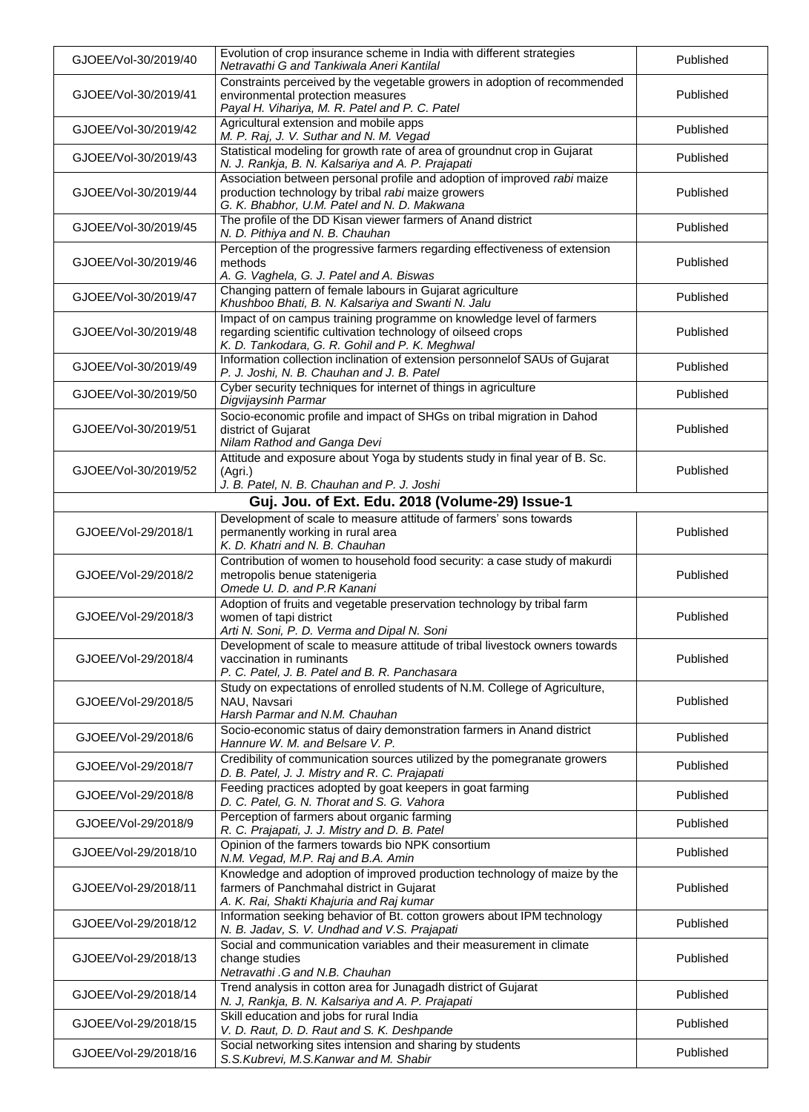| GJOEE/Vol-30/2019/40 | Evolution of crop insurance scheme in India with different strategies<br>Netravathi G and Tankiwala Aneri Kantilal                                                                     | Published |
|----------------------|----------------------------------------------------------------------------------------------------------------------------------------------------------------------------------------|-----------|
| GJOEE/Vol-30/2019/41 | Constraints perceived by the vegetable growers in adoption of recommended<br>environmental protection measures                                                                         | Published |
|                      | Payal H. Vihariya, M. R. Patel and P. C. Patel                                                                                                                                         |           |
| GJOEE/Vol-30/2019/42 | Agricultural extension and mobile apps<br>M. P. Raj, J. V. Suthar and N. M. Vegad                                                                                                      | Published |
| GJOEE/Vol-30/2019/43 | Statistical modeling for growth rate of area of groundnut crop in Gujarat<br>N. J. Rankja, B. N. Kalsariya and A. P. Prajapati                                                         | Published |
| GJOEE/Vol-30/2019/44 | Association between personal profile and adoption of improved rabi maize<br>production technology by tribal rabi maize growers<br>G. K. Bhabhor, U.M. Patel and N. D. Makwana          | Published |
| GJOEE/Vol-30/2019/45 | The profile of the DD Kisan viewer farmers of Anand district<br>N. D. Pithiya and N. B. Chauhan                                                                                        | Published |
| GJOEE/Vol-30/2019/46 | Perception of the progressive farmers regarding effectiveness of extension<br>methods<br>A. G. Vaghela, G. J. Patel and A. Biswas                                                      | Published |
| GJOEE/Vol-30/2019/47 | Changing pattern of female labours in Gujarat agriculture<br>Khushboo Bhati, B. N. Kalsariya and Swanti N. Jalu                                                                        | Published |
| GJOEE/Vol-30/2019/48 | Impact of on campus training programme on knowledge level of farmers<br>regarding scientific cultivation technology of oilseed crops<br>K. D. Tankodara, G. R. Gohil and P. K. Meghwal | Published |
| GJOEE/Vol-30/2019/49 | Information collection inclination of extension personnelof SAUs of Gujarat<br>P. J. Joshi, N. B. Chauhan and J. B. Patel                                                              | Published |
| GJOEE/Vol-30/2019/50 | Cyber security techniques for internet of things in agriculture<br>Digvijaysinh Parmar                                                                                                 | Published |
| GJOEE/Vol-30/2019/51 | Socio-economic profile and impact of SHGs on tribal migration in Dahod<br>district of Gujarat<br>Nilam Rathod and Ganga Devi                                                           | Published |
| GJOEE/Vol-30/2019/52 | Attitude and exposure about Yoga by students study in final year of B. Sc.<br>(Agri.)<br>J. B. Patel, N. B. Chauhan and P. J. Joshi                                                    | Published |
|                      | Guj. Jou. of Ext. Edu. 2018 (Volume-29) Issue-1                                                                                                                                        |           |
| GJOEE/Vol-29/2018/1  | Development of scale to measure attitude of farmers' sons towards<br>permanently working in rural area<br>K. D. Khatri and N. B. Chauhan                                               | Published |
| GJOEE/Vol-29/2018/2  | Contribution of women to household food security: a case study of makurdi<br>metropolis benue statenigeria<br>Omede U. D. and P.R Kanani                                               | Published |
| GJOEE/Vol-29/2018/3  | Adoption of fruits and vegetable preservation technology by tribal farm<br>women of tapi district<br>Arti N. Soni, P. D. Verma and Dipal N. Soni                                       | Published |
| GJOEE/Vol-29/2018/4  | Development of scale to measure attitude of tribal livestock owners towards<br>vaccination in ruminants<br>P. C. Patel, J. B. Patel and B. R. Panchasara                               | Published |
| GJOEE/Vol-29/2018/5  | Study on expectations of enrolled students of N.M. College of Agriculture,<br>NAU, Navsari<br>Harsh Parmar and N.M. Chauhan                                                            | Published |
| GJOEE/Vol-29/2018/6  | Socio-economic status of dairy demonstration farmers in Anand district<br>Hannure W. M. and Belsare V. P.                                                                              | Published |
| GJOEE/Vol-29/2018/7  | Credibility of communication sources utilized by the pomegranate growers<br>D. B. Patel, J. J. Mistry and R. C. Prajapati                                                              | Published |
| GJOEE/Vol-29/2018/8  | Feeding practices adopted by goat keepers in goat farming<br>D. C. Patel, G. N. Thorat and S. G. Vahora                                                                                | Published |
| GJOEE/Vol-29/2018/9  | Perception of farmers about organic farming<br>R. C. Prajapati, J. J. Mistry and D. B. Patel                                                                                           | Published |
| GJOEE/Vol-29/2018/10 | Opinion of the farmers towards bio NPK consortium<br>N.M. Vegad, M.P. Raj and B.A. Amin                                                                                                | Published |
| GJOEE/Vol-29/2018/11 | Knowledge and adoption of improved production technology of maize by the<br>farmers of Panchmahal district in Gujarat<br>A. K. Rai, Shakti Khajuria and Raj kumar                      | Published |
| GJOEE/Vol-29/2018/12 | Information seeking behavior of Bt. cotton growers about IPM technology<br>N. B. Jadav, S. V. Undhad and V.S. Prajapati                                                                | Published |
| GJOEE/Vol-29/2018/13 | Social and communication variables and their measurement in climate<br>change studies<br>Netravathi .G and N.B. Chauhan                                                                | Published |
| GJOEE/Vol-29/2018/14 | Trend analysis in cotton area for Junagadh district of Gujarat<br>N. J, Rankja, B. N. Kalsariya and A. P. Prajapati                                                                    | Published |
| GJOEE/Vol-29/2018/15 | Skill education and jobs for rural India<br>V. D. Raut, D. D. Raut and S. K. Deshpande                                                                                                 | Published |
| GJOEE/Vol-29/2018/16 | Social networking sites intension and sharing by students<br>S.S.Kubrevi, M.S.Kanwar and M. Shabir                                                                                     | Published |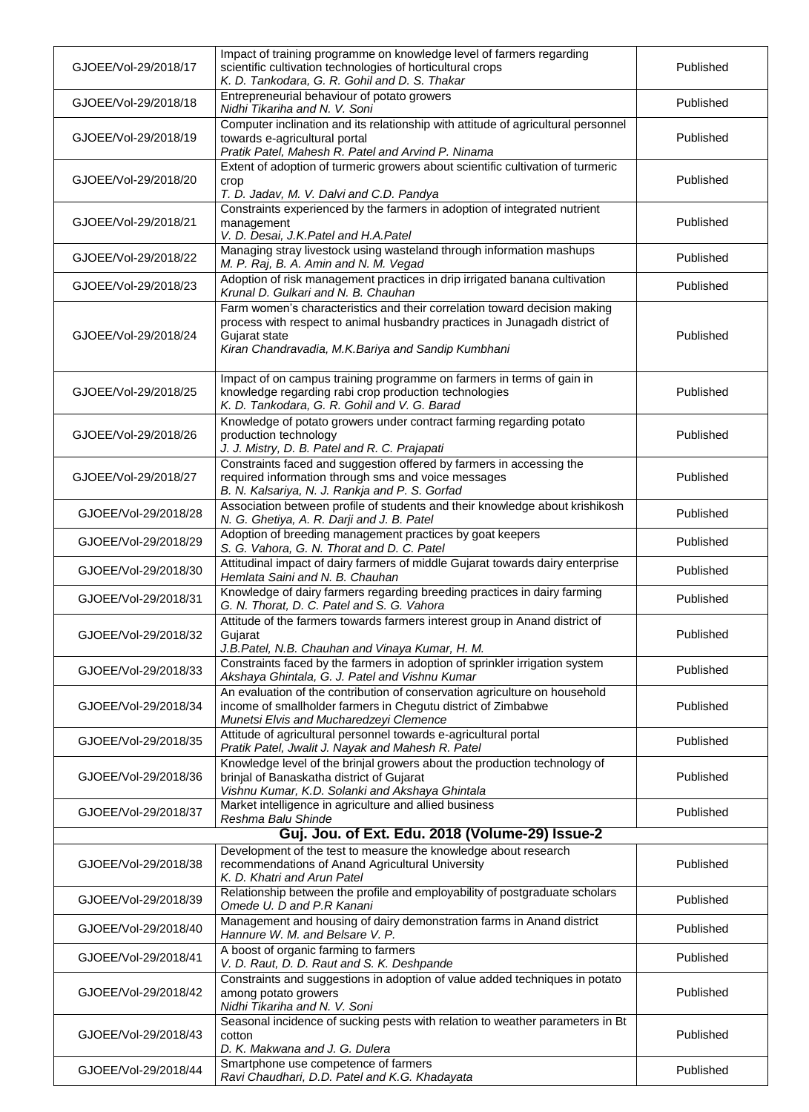|                                                 | Impact of training programme on knowledge level of farmers regarding                                                           |           |  |  |
|-------------------------------------------------|--------------------------------------------------------------------------------------------------------------------------------|-----------|--|--|
| GJOEE/Vol-29/2018/17                            | scientific cultivation technologies of horticultural crops                                                                     | Published |  |  |
|                                                 | K. D. Tankodara, G. R. Gohil and D. S. Thakar                                                                                  |           |  |  |
| GJOEE/Vol-29/2018/18                            | Entrepreneurial behaviour of potato growers<br>Nidhi Tikariha and N. V. Soni                                                   | Published |  |  |
|                                                 | Computer inclination and its relationship with attitude of agricultural personnel                                              |           |  |  |
| GJOEE/Vol-29/2018/19                            | towards e-agricultural portal                                                                                                  | Published |  |  |
|                                                 | Pratik Patel, Mahesh R. Patel and Arvind P. Ninama                                                                             |           |  |  |
|                                                 | Extent of adoption of turmeric growers about scientific cultivation of turmeric                                                |           |  |  |
| GJOEE/Vol-29/2018/20                            | crop<br>T. D. Jadav, M. V. Dalvi and C.D. Pandya                                                                               | Published |  |  |
|                                                 | Constraints experienced by the farmers in adoption of integrated nutrient                                                      |           |  |  |
| GJOEE/Vol-29/2018/21                            | management                                                                                                                     | Published |  |  |
|                                                 | V. D. Desai, J.K. Patel and H.A. Patel                                                                                         |           |  |  |
| GJOEE/Vol-29/2018/22                            | Managing stray livestock using wasteland through information mashups                                                           | Published |  |  |
|                                                 | M. P. Raj, B. A. Amin and N. M. Vegad                                                                                          |           |  |  |
| GJOEE/Vol-29/2018/23                            | Adoption of risk management practices in drip irrigated banana cultivation<br>Krunal D. Gulkari and N. B. Chauhan              | Published |  |  |
|                                                 | Farm women's characteristics and their correlation toward decision making                                                      |           |  |  |
|                                                 | process with respect to animal husbandry practices in Junagadh district of                                                     |           |  |  |
| GJOEE/Vol-29/2018/24                            | Gujarat state                                                                                                                  | Published |  |  |
|                                                 | Kiran Chandravadia, M.K.Bariya and Sandip Kumbhani                                                                             |           |  |  |
|                                                 |                                                                                                                                |           |  |  |
|                                                 | Impact of on campus training programme on farmers in terms of gain in                                                          |           |  |  |
| GJOEE/Vol-29/2018/25                            | knowledge regarding rabi crop production technologies<br>K. D. Tankodara, G. R. Gohil and V. G. Barad                          | Published |  |  |
|                                                 | Knowledge of potato growers under contract farming regarding potato                                                            |           |  |  |
| GJOEE/Vol-29/2018/26                            | production technology                                                                                                          | Published |  |  |
|                                                 | J. J. Mistry, D. B. Patel and R. C. Prajapati                                                                                  |           |  |  |
|                                                 | Constraints faced and suggestion offered by farmers in accessing the                                                           |           |  |  |
| GJOEE/Vol-29/2018/27                            | required information through sms and voice messages                                                                            | Published |  |  |
|                                                 | B. N. Kalsariya, N. J. Rankja and P. S. Gorfad<br>Association between profile of students and their knowledge about krishikosh |           |  |  |
| GJOEE/Vol-29/2018/28                            | N. G. Ghetiya, A. R. Darji and J. B. Patel                                                                                     | Published |  |  |
|                                                 | Adoption of breeding management practices by goat keepers                                                                      |           |  |  |
| GJOEE/Vol-29/2018/29                            | S. G. Vahora, G. N. Thorat and D. C. Patel                                                                                     | Published |  |  |
| GJOEE/Vol-29/2018/30                            | Attitudinal impact of dairy farmers of middle Gujarat towards dairy enterprise                                                 | Published |  |  |
|                                                 | Hemlata Saini and N. B. Chauhan                                                                                                |           |  |  |
| GJOEE/Vol-29/2018/31                            | Knowledge of dairy farmers regarding breeding practices in dairy farming<br>G. N. Thorat, D. C. Patel and S. G. Vahora         | Published |  |  |
|                                                 | Attitude of the farmers towards farmers interest group in Anand district of                                                    |           |  |  |
| GJOEE/Vol-29/2018/32                            | Gujarat                                                                                                                        | Published |  |  |
|                                                 | J.B.Patel, N.B. Chauhan and Vinaya Kumar, H. M.                                                                                |           |  |  |
| GJOEE/Vol-29/2018/33                            | Constraints faced by the farmers in adoption of sprinkler irrigation system                                                    | Published |  |  |
|                                                 | Akshaya Ghintala, G. J. Patel and Vishnu Kumar                                                                                 |           |  |  |
|                                                 | An evaluation of the contribution of conservation agriculture on household                                                     |           |  |  |
| GJOEE/Vol-29/2018/34                            | income of smallholder farmers in Chegutu district of Zimbabwe<br>Munetsi Elvis and Mucharedzeyi Clemence                       | Published |  |  |
|                                                 | Attitude of agricultural personnel towards e-agricultural portal                                                               |           |  |  |
| GJOEE/Vol-29/2018/35                            | Pratik Patel, Jwalit J. Nayak and Mahesh R. Patel                                                                              | Published |  |  |
|                                                 | Knowledge level of the brinjal growers about the production technology of                                                      |           |  |  |
| GJOEE/Vol-29/2018/36                            | brinjal of Banaskatha district of Gujarat                                                                                      | Published |  |  |
|                                                 | Vishnu Kumar, K.D. Solanki and Akshaya Ghintala                                                                                |           |  |  |
| GJOEE/Vol-29/2018/37                            | Market intelligence in agriculture and allied business<br>Reshma Balu Shinde                                                   | Published |  |  |
| Guj. Jou. of Ext. Edu. 2018 (Volume-29) Issue-2 |                                                                                                                                |           |  |  |
|                                                 | Development of the test to measure the knowledge about research                                                                |           |  |  |
| GJOEE/Vol-29/2018/38                            | recommendations of Anand Agricultural University                                                                               | Published |  |  |
|                                                 | K. D. Khatri and Arun Patel                                                                                                    |           |  |  |
| GJOEE/Vol-29/2018/39                            | Relationship between the profile and employability of postgraduate scholars                                                    | Published |  |  |
|                                                 | Omede U. D and P.R Kanani<br>Management and housing of dairy demonstration farms in Anand district                             |           |  |  |
| GJOEE/Vol-29/2018/40                            | Hannure W. M. and Belsare V. P.                                                                                                | Published |  |  |
|                                                 | A boost of organic farming to farmers                                                                                          |           |  |  |
| GJOEE/Vol-29/2018/41                            | V. D. Raut, D. D. Raut and S. K. Deshpande                                                                                     | Published |  |  |
|                                                 | Constraints and suggestions in adoption of value added techniques in potato                                                    |           |  |  |
| GJOEE/Vol-29/2018/42                            | among potato growers                                                                                                           | Published |  |  |
|                                                 | Nidhi Tikariha and N. V. Soni                                                                                                  |           |  |  |
|                                                 | Seasonal incidence of sucking pests with relation to weather parameters in Bt                                                  |           |  |  |
| GJOEE/Vol-29/2018/43                            | cotton<br>D. K. Makwana and J. G. Dulera                                                                                       | Published |  |  |
|                                                 | Smartphone use competence of farmers                                                                                           |           |  |  |
| GJOEE/Vol-29/2018/44                            | Ravi Chaudhari, D.D. Patel and K.G. Khadayata                                                                                  | Published |  |  |